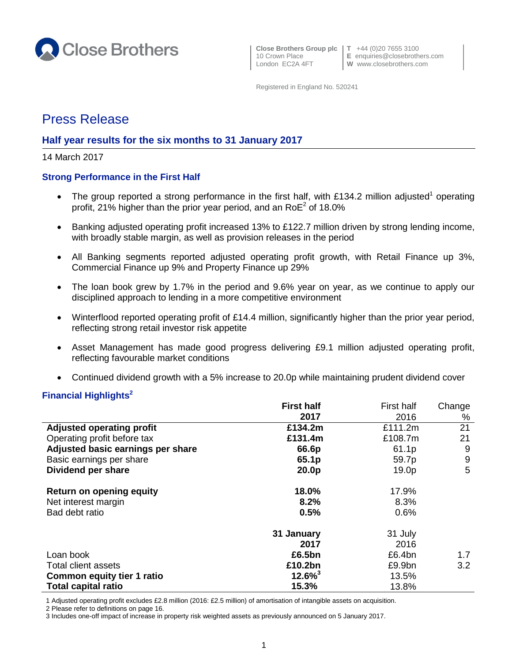

**Close Brothers Group plc**  $\begin{bmatrix} T & +44 & (0)20 & 7655 & 3100 \\ E & \text{equities} & \text{Closebroth} \end{bmatrix}$ 10 Crown Place **E** enquiries@closebrothers.com<br>
London EC2A 4FT **W** www.closebrothers.com

W www.closebrothers.com

Registered in England No. 520241

# Press Release

## **Half year results for the six months to 31 January 2017**

14 March 2017

## **Strong Performance in the First Half**

- The group reported a strong performance in the first half, with £134.2 million adjusted<sup>1</sup> operating profit, 21% higher than the prior year period, and an  $RoE^2$  of 18.0%
- Banking adjusted operating profit increased 13% to £122.7 million driven by strong lending income, with broadly stable margin, as well as provision releases in the period
- All Banking segments reported adjusted operating profit growth, with Retail Finance up 3%, Commercial Finance up 9% and Property Finance up 29%
- The loan book grew by 1.7% in the period and 9.6% year on year, as we continue to apply our disciplined approach to lending in a more competitive environment
- Winterflood reported operating profit of £14.4 million, significantly higher than the prior year period, reflecting strong retail investor risk appetite
- Asset Management has made good progress delivering £9.1 million adjusted operating profit, reflecting favourable market conditions
- Continued dividend growth with a 5% increase to 20.0p while maintaining prudent dividend cover

## **Financial Highlights<sup>2</sup>**

|                                   | <b>First half</b>     | First half        | Change |
|-----------------------------------|-----------------------|-------------------|--------|
|                                   | 2017                  | 2016              | %      |
| <b>Adjusted operating profit</b>  | £134.2m               | £111.2m           | 21     |
| Operating profit before tax       | £131.4m               | £108.7m           | 21     |
| Adjusted basic earnings per share | 66.6p                 | 61.1p             | 9      |
| Basic earnings per share          | 65.1p                 | 59.7p             | $9\,$  |
| Dividend per share                | 20.0 <sub>p</sub>     | 19.0 <sub>p</sub> | 5      |
| Return on opening equity          | 18.0%                 | 17.9%             |        |
| Net interest margin               | 8.2%                  | 8.3%              |        |
| Bad debt ratio                    | 0.5%                  | 0.6%              |        |
|                                   | 31 January            | 31 July           |        |
|                                   | 2017                  | 2016              |        |
| Loan book                         | £6.5bn                | £6.4bn            | 1.7    |
| Total client assets               | £10.2bn               | £9.9bn            | 3.2    |
| Common equity tier 1 ratio        | $12.6\%$ <sup>3</sup> | 13.5%             |        |
| <b>Total capital ratio</b>        | 15.3%                 | 13.8%             |        |

1 Adjusted operating profit excludes £2.8 million (2016: £2.5 million) of amortisation of intangible assets on acquisition.

2 Please refer to definitions on page 16.

3 Includes one-off impact of increase in property risk weighted assets as previously announced on 5 January 2017.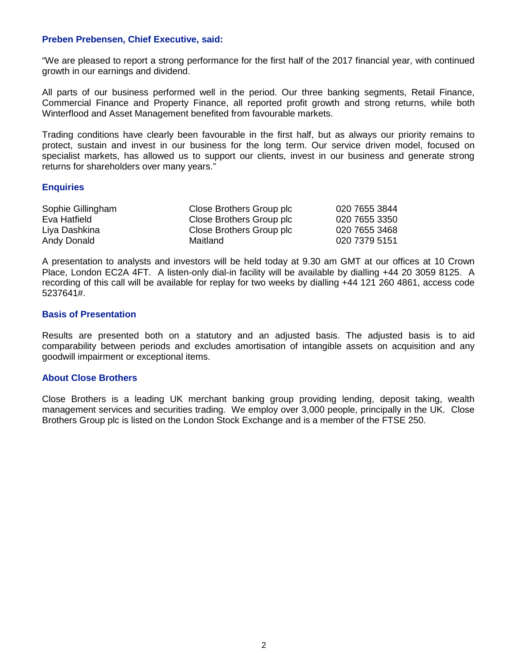#### **Preben Prebensen, Chief Executive, said:**

"We are pleased to report a strong performance for the first half of the 2017 financial year, with continued growth in our earnings and dividend.

All parts of our business performed well in the period. Our three banking segments, Retail Finance, Commercial Finance and Property Finance, all reported profit growth and strong returns, while both Winterflood and Asset Management benefited from favourable markets.

Trading conditions have clearly been favourable in the first half, but as always our priority remains to protect, sustain and invest in our business for the long term. Our service driven model, focused on specialist markets, has allowed us to support our clients, invest in our business and generate strong returns for shareholders over many years."

#### **Enquiries**

| Sophie Gillingham | Close Brothers Group plc | 020 7655 3844 |
|-------------------|--------------------------|---------------|
| Eva Hatfield      | Close Brothers Group plc | 020 7655 3350 |
| Liya Dashkina     | Close Brothers Group plc | 020 7655 3468 |
| Andy Donald       | Maitland                 | 020 7379 5151 |

A presentation to analysts and investors will be held today at 9.30 am GMT at our offices at 10 Crown Place, London EC2A 4FT. A listen-only dial-in facility will be available by dialling +44 20 3059 8125. A recording of this call will be available for replay for two weeks by dialling +44 121 260 4861, access code 5237641#.

#### **Basis of Presentation**

Results are presented both on a statutory and an adjusted basis. The adjusted basis is to aid comparability between periods and excludes amortisation of intangible assets on acquisition and any goodwill impairment or exceptional items.

#### **About Close Brothers**

Close Brothers is a leading UK merchant banking group providing lending, deposit taking, wealth management services and securities trading. We employ over 3,000 people, principally in the UK. Close Brothers Group plc is listed on the London Stock Exchange and is a member of the FTSE 250.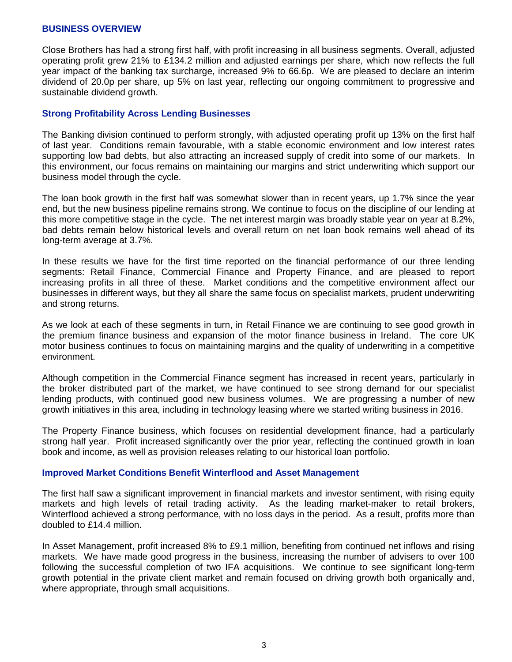#### **BUSINESS OVERVIEW**

Close Brothers has had a strong first half, with profit increasing in all business segments. Overall, adjusted operating profit grew 21% to £134.2 million and adjusted earnings per share, which now reflects the full year impact of the banking tax surcharge, increased 9% to 66.6p. We are pleased to declare an interim dividend of 20.0p per share, up 5% on last year, reflecting our ongoing commitment to progressive and sustainable dividend growth.

### **Strong Profitability Across Lending Businesses**

The Banking division continued to perform strongly, with adjusted operating profit up 13% on the first half of last year. Conditions remain favourable, with a stable economic environment and low interest rates supporting low bad debts, but also attracting an increased supply of credit into some of our markets. In this environment, our focus remains on maintaining our margins and strict underwriting which support our business model through the cycle.

The loan book growth in the first half was somewhat slower than in recent years, up 1.7% since the year end, but the new business pipeline remains strong. We continue to focus on the discipline of our lending at this more competitive stage in the cycle. The net interest margin was broadly stable year on year at 8.2%, bad debts remain below historical levels and overall return on net loan book remains well ahead of its long-term average at 3.7%.

In these results we have for the first time reported on the financial performance of our three lending segments: Retail Finance, Commercial Finance and Property Finance, and are pleased to report increasing profits in all three of these. Market conditions and the competitive environment affect our businesses in different ways, but they all share the same focus on specialist markets, prudent underwriting and strong returns.

As we look at each of these segments in turn, in Retail Finance we are continuing to see good growth in the premium finance business and expansion of the motor finance business in Ireland. The core UK motor business continues to focus on maintaining margins and the quality of underwriting in a competitive environment.

Although competition in the Commercial Finance segment has increased in recent years, particularly in the broker distributed part of the market, we have continued to see strong demand for our specialist lending products, with continued good new business volumes. We are progressing a number of new growth initiatives in this area, including in technology leasing where we started writing business in 2016.

The Property Finance business, which focuses on residential development finance, had a particularly strong half year. Profit increased significantly over the prior year, reflecting the continued growth in loan book and income, as well as provision releases relating to our historical loan portfolio.

#### **Improved Market Conditions Benefit Winterflood and Asset Management**

The first half saw a significant improvement in financial markets and investor sentiment, with rising equity markets and high levels of retail trading activity. As the leading market-maker to retail brokers, Winterflood achieved a strong performance, with no loss days in the period. As a result, profits more than doubled to £14.4 million.

In Asset Management, profit increased 8% to £9.1 million, benefiting from continued net inflows and rising markets. We have made good progress in the business, increasing the number of advisers to over 100 following the successful completion of two IFA acquisitions. We continue to see significant long-term growth potential in the private client market and remain focused on driving growth both organically and, where appropriate, through small acquisitions.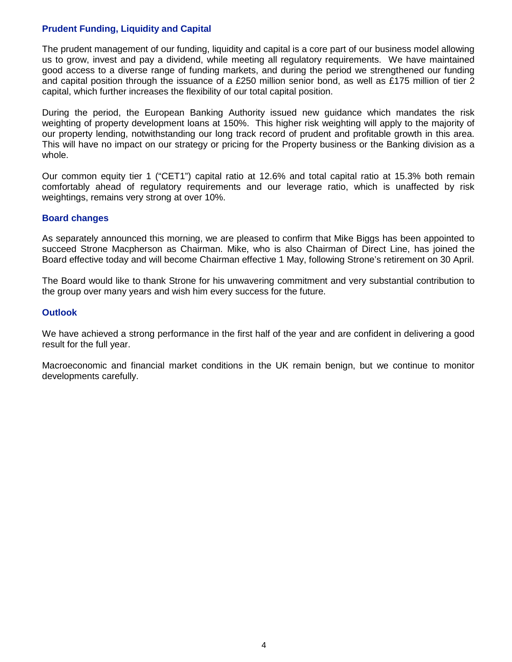## **Prudent Funding, Liquidity and Capital**

The prudent management of our funding, liquidity and capital is a core part of our business model allowing us to grow, invest and pay a dividend, while meeting all regulatory requirements. We have maintained good access to a diverse range of funding markets, and during the period we strengthened our funding and capital position through the issuance of a £250 million senior bond, as well as £175 million of tier 2 capital, which further increases the flexibility of our total capital position.

During the period, the European Banking Authority issued new guidance which mandates the risk weighting of property development loans at 150%. This higher risk weighting will apply to the majority of our property lending, notwithstanding our long track record of prudent and profitable growth in this area. This will have no impact on our strategy or pricing for the Property business or the Banking division as a whole.

Our common equity tier 1 ("CET1") capital ratio at 12.6% and total capital ratio at 15.3% both remain comfortably ahead of regulatory requirements and our leverage ratio, which is unaffected by risk weightings, remains very strong at over 10%.

#### **Board changes**

As separately announced this morning, we are pleased to confirm that Mike Biggs has been appointed to succeed Strone Macpherson as Chairman. Mike, who is also Chairman of Direct Line, has joined the Board effective today and will become Chairman effective 1 May, following Strone's retirement on 30 April.

The Board would like to thank Strone for his unwavering commitment and very substantial contribution to the group over many years and wish him every success for the future.

#### **Outlook**

We have achieved a strong performance in the first half of the year and are confident in delivering a good result for the full year.

Macroeconomic and financial market conditions in the UK remain benign, but we continue to monitor developments carefully.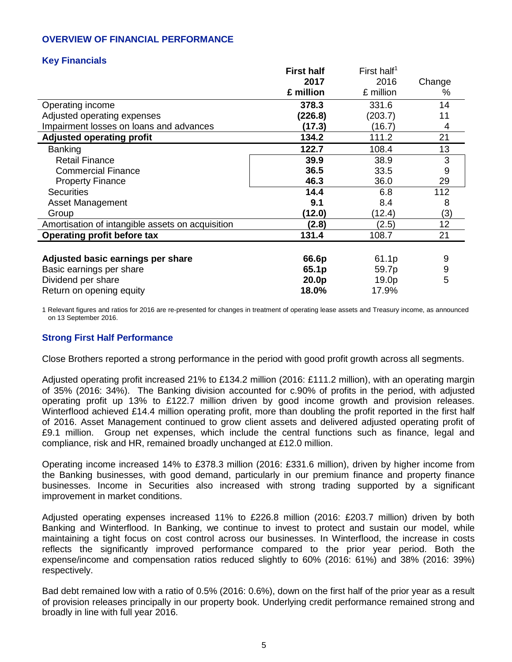## **OVERVIEW OF FINANCIAL PERFORMANCE**

## **Key Financials**

|                                                  | <b>First half</b> | First half <sup>1</sup> |        |
|--------------------------------------------------|-------------------|-------------------------|--------|
|                                                  | 2017              | 2016                    | Change |
|                                                  | £ million         | £ million               | ℅      |
| Operating income                                 | 378.3             | 331.6                   | 14     |
| Adjusted operating expenses                      | (226.8)           | (203.7)                 | 11     |
| Impairment losses on loans and advances          | (17.3)            | (16.7)                  | 4      |
| <b>Adjusted operating profit</b>                 | 134.2             | 111.2                   | 21     |
| <b>Banking</b>                                   | 122.7             | 108.4                   | 13     |
| <b>Retail Finance</b>                            | 39.9              | 38.9                    | 3      |
| <b>Commercial Finance</b>                        | 36.5              | 33.5                    | 9      |
| <b>Property Finance</b>                          | 46.3              | 36.0                    | 29     |
| <b>Securities</b>                                | 14.4              | 6.8                     | 112    |
| <b>Asset Management</b>                          | 9.1               | 8.4                     | 8      |
| Group                                            | (12.0)            | (12.4)                  | (3)    |
| Amortisation of intangible assets on acquisition | (2.8)             | (2.5)                   | 12     |
| Operating profit before tax                      | 131.4             | 108.7                   | 21     |
|                                                  |                   |                         |        |
| Adjusted basic earnings per share                | 66.6p             | 61.1p                   | 9      |
| Basic earnings per share                         | 65.1 <sub>p</sub> | 59.7p                   | 9      |
| Dividend per share                               | 20.0p             | 19.0p                   | 5      |
| Return on opening equity                         | 18.0%             | 17.9%                   |        |

1 Relevant figures and ratios for 2016 are re-presented for changes in treatment of operating lease assets and Treasury income, as announced on 13 September 2016.

## **Strong First Half Performance**

Close Brothers reported a strong performance in the period with good profit growth across all segments.

Adjusted operating profit increased 21% to £134.2 million (2016: £111.2 million), with an operating margin of 35% (2016: 34%). The Banking division accounted for c.90% of profits in the period, with adjusted operating profit up 13% to £122.7 million driven by good income growth and provision releases. Winterflood achieved £14.4 million operating profit, more than doubling the profit reported in the first half of 2016. Asset Management continued to grow client assets and delivered adjusted operating profit of £9.1 million. Group net expenses, which include the central functions such as finance, legal and compliance, risk and HR, remained broadly unchanged at £12.0 million.

Operating income increased 14% to £378.3 million (2016: £331.6 million), driven by higher income from the Banking businesses, with good demand, particularly in our premium finance and property finance businesses. Income in Securities also increased with strong trading supported by a significant improvement in market conditions.

Adjusted operating expenses increased 11% to £226.8 million (2016: £203.7 million) driven by both Banking and Winterflood. In Banking, we continue to invest to protect and sustain our model, while maintaining a tight focus on cost control across our businesses. In Winterflood, the increase in costs reflects the significantly improved performance compared to the prior year period. Both the expense/income and compensation ratios reduced slightly to 60% (2016: 61%) and 38% (2016: 39%) respectively.

Bad debt remained low with a ratio of 0.5% (2016: 0.6%), down on the first half of the prior year as a result of provision releases principally in our property book. Underlying credit performance remained strong and broadly in line with full year 2016.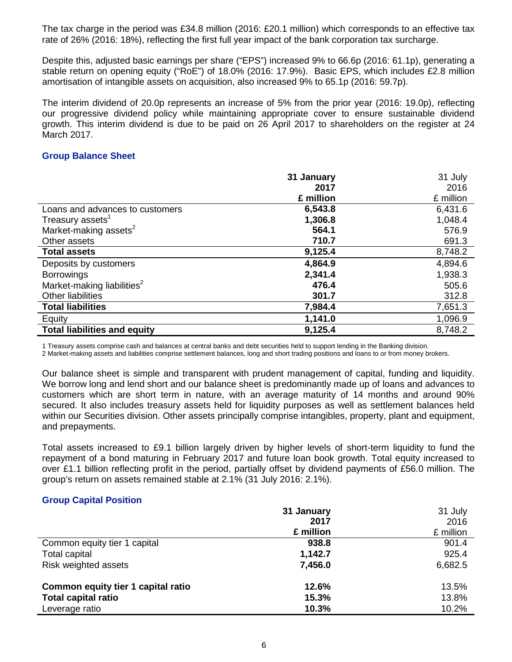The tax charge in the period was £34.8 million (2016: £20.1 million) which corresponds to an effective tax rate of 26% (2016: 18%), reflecting the first full year impact of the bank corporation tax surcharge.

Despite this, adjusted basic earnings per share ("EPS") increased 9% to 66.6p (2016: 61.1p), generating a stable return on opening equity ("RoE") of 18.0% (2016: 17.9%). Basic EPS, which includes £2.8 million amortisation of intangible assets on acquisition, also increased 9% to 65.1p (2016: 59.7p).

The interim dividend of 20.0p represents an increase of 5% from the prior year (2016: 19.0p), reflecting our progressive dividend policy while maintaining appropriate cover to ensure sustainable dividend growth. This interim dividend is due to be paid on 26 April 2017 to shareholders on the register at 24 March 2017.

#### **Group Balance Sheet**

|                                        | 31 January | 31 July   |
|----------------------------------------|------------|-----------|
|                                        | 2017       | 2016      |
|                                        | £ million  | £ million |
| Loans and advances to customers        | 6,543.8    | 6,431.6   |
| Treasury assets <sup>1</sup>           | 1,306.8    | 1,048.4   |
| Market-making assets <sup>2</sup>      | 564.1      | 576.9     |
| Other assets                           | 710.7      | 691.3     |
| <b>Total assets</b>                    | 9,125.4    | 8,748.2   |
| Deposits by customers                  | 4,864.9    | 4,894.6   |
| <b>Borrowings</b>                      | 2,341.4    | 1,938.3   |
| Market-making liabilities <sup>2</sup> | 476.4      | 505.6     |
| <b>Other liabilities</b>               | 301.7      | 312.8     |
| <b>Total liabilities</b>               | 7,984.4    | 7,651.3   |
| Equity                                 | 1,141.0    | 1,096.9   |
| <b>Total liabilities and equity</b>    | 9,125.4    | 8,748.2   |

1 Treasury assets comprise cash and balances at central banks and debt securities held to support lending in the Banking division.

2 Market-making assets and liabilities comprise settlement balances, long and short trading positions and loans to or from money brokers.

Our balance sheet is simple and transparent with prudent management of capital, funding and liquidity. We borrow long and lend short and our balance sheet is predominantly made up of loans and advances to customers which are short term in nature, with an average maturity of 14 months and around 90% secured. It also includes treasury assets held for liquidity purposes as well as settlement balances held within our Securities division. Other assets principally comprise intangibles, property, plant and equipment, and prepayments.

Total assets increased to £9.1 billion largely driven by higher levels of short-term liquidity to fund the repayment of a bond maturing in February 2017 and future loan book growth. Total equity increased to over £1.1 billion reflecting profit in the period, partially offset by dividend payments of £56.0 million. The group's return on assets remained stable at 2.1% (31 July 2016: 2.1%).

#### **Group Capital Position**

|                                    | 31 January | 31 July   |
|------------------------------------|------------|-----------|
|                                    | 2017       | 2016      |
|                                    | £ million  | £ million |
| Common equity tier 1 capital       | 938.8      | 901.4     |
| Total capital                      | 1,142.7    | 925.4     |
| Risk weighted assets               | 7,456.0    | 6,682.5   |
| Common equity tier 1 capital ratio | 12.6%      | 13.5%     |
| <b>Total capital ratio</b>         | 15.3%      | 13.8%     |
| Leverage ratio                     | 10.3%      | 10.2%     |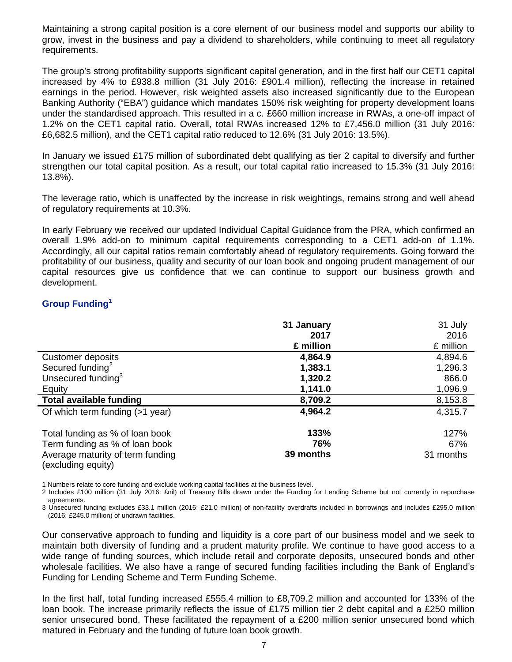Maintaining a strong capital position is a core element of our business model and supports our ability to grow, invest in the business and pay a dividend to shareholders, while continuing to meet all regulatory requirements.

The group's strong profitability supports significant capital generation, and in the first half our CET1 capital increased by 4% to £938.8 million (31 July 2016: £901.4 million), reflecting the increase in retained earnings in the period. However, risk weighted assets also increased significantly due to the European Banking Authority ("EBA") guidance which mandates 150% risk weighting for property development loans under the standardised approach. This resulted in a c. £660 million increase in RWAs, a one-off impact of 1.2% on the CET1 capital ratio. Overall, total RWAs increased 12% to £7,456.0 million (31 July 2016: £6,682.5 million), and the CET1 capital ratio reduced to 12.6% (31 July 2016: 13.5%).

In January we issued £175 million of subordinated debt qualifying as tier 2 capital to diversify and further strengthen our total capital position. As a result, our total capital ratio increased to 15.3% (31 July 2016: 13.8%).

The leverage ratio, which is unaffected by the increase in risk weightings, remains strong and well ahead of regulatory requirements at 10.3%.

In early February we received our updated Individual Capital Guidance from the PRA, which confirmed an overall 1.9% add-on to minimum capital requirements corresponding to a CET1 add-on of 1.1%. Accordingly, all our capital ratios remain comfortably ahead of regulatory requirements. Going forward the profitability of our business, quality and security of our loan book and ongoing prudent management of our capital resources give us confidence that we can continue to support our business growth and development.

## **Group Funding<sup>1</sup>**

|                                                        | 31 January | 31 July   |
|--------------------------------------------------------|------------|-----------|
|                                                        | 2017       | 2016      |
|                                                        | £ million  | £ million |
| Customer deposits                                      | 4,864.9    | 4,894.6   |
| Secured funding <sup>2</sup>                           | 1,383.1    | 1,296.3   |
| Unsecured funding <sup>3</sup>                         | 1,320.2    | 866.0     |
| Equity                                                 | 1,141.0    | 1,096.9   |
| <b>Total available funding</b>                         | 8,709.2    | 8,153.8   |
| Of which term funding (>1 year)                        | 4,964.2    | 4,315.7   |
| Total funding as % of loan book                        | 133%       | 127%      |
| Term funding as % of loan book                         | 76%        | 67%       |
| Average maturity of term funding<br>(excluding equity) | 39 months  | 31 months |

1 Numbers relate to core funding and exclude working capital facilities at the business level.

2 Includes £100 million (31 July 2016: £nil) of Treasury Bills drawn under the Funding for Lending Scheme but not currently in repurchase agreements.

3 Unsecured funding excludes £33.1 million (2016: £21.0 million) of non-facility overdrafts included in borrowings and includes £295.0 million (2016: £245.0 million) of undrawn facilities.

Our conservative approach to funding and liquidity is a core part of our business model and we seek to maintain both diversity of funding and a prudent maturity profile. We continue to have good access to a wide range of funding sources, which include retail and corporate deposits, unsecured bonds and other wholesale facilities. We also have a range of secured funding facilities including the Bank of England's Funding for Lending Scheme and Term Funding Scheme.

In the first half, total funding increased £555.4 million to £8,709.2 million and accounted for 133% of the loan book. The increase primarily reflects the issue of £175 million tier 2 debt capital and a £250 million senior unsecured bond. These facilitated the repayment of a £200 million senior unsecured bond which matured in February and the funding of future loan book growth.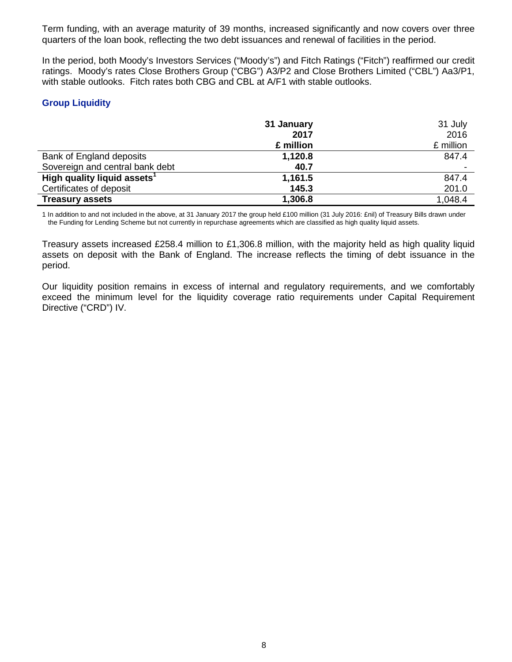Term funding, with an average maturity of 39 months, increased significantly and now covers over three quarters of the loan book, reflecting the two debt issuances and renewal of facilities in the period.

In the period, both Moody's Investors Services ("Moody's") and Fitch Ratings ("Fitch") reaffirmed our credit ratings. Moody's rates Close Brothers Group ("CBG") A3/P2 and Close Brothers Limited ("CBL") Aa3/P1, with stable outlooks. Fitch rates both CBG and CBL at A/F1 with stable outlooks.

## **Group Liquidity**

|                                         | 31 January | 31 July   |
|-----------------------------------------|------------|-----------|
|                                         | 2017       | 2016      |
|                                         | £ million  | £ million |
| Bank of England deposits                | 1,120.8    | 847.4     |
| Sovereign and central bank debt         | 40.7       |           |
| High quality liquid assets <sup>1</sup> | 1,161.5    | 847.4     |
| Certificates of deposit                 | 145.3      | 201.0     |
| <b>Treasury assets</b>                  | 1,306.8    | 1,048.4   |

1 In addition to and not included in the above, at 31 January 2017 the group held £100 million (31 July 2016: £nil) of Treasury Bills drawn under the Funding for Lending Scheme but not currently in repurchase agreements which are classified as high quality liquid assets.

Treasury assets increased £258.4 million to £1,306.8 million, with the majority held as high quality liquid assets on deposit with the Bank of England. The increase reflects the timing of debt issuance in the period.

Our liquidity position remains in excess of internal and regulatory requirements, and we comfortably exceed the minimum level for the liquidity coverage ratio requirements under Capital Requirement Directive ("CRD") IV.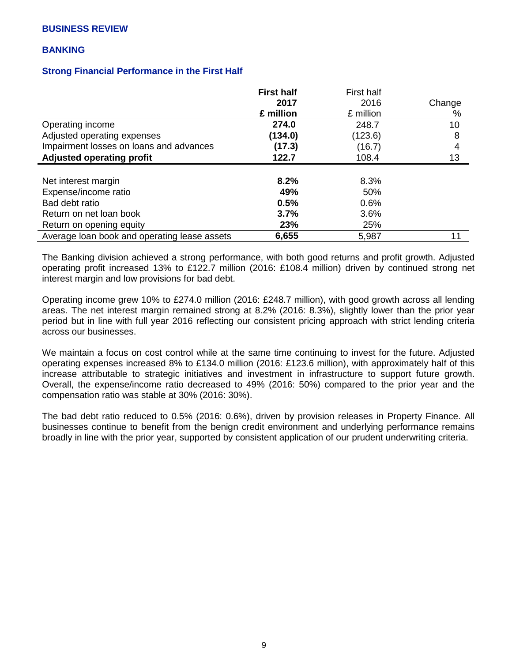#### **BUSINESS REVIEW**

#### **BANKING**

#### **Strong Financial Performance in the First Half**

|                                              | <b>First half</b> | First half |        |
|----------------------------------------------|-------------------|------------|--------|
|                                              | 2017              | 2016       | Change |
|                                              | £ million         | £ million  | %      |
| Operating income                             | 274.0             | 248.7      | 10     |
| Adjusted operating expenses                  | (134.0)           | (123.6)    | 8      |
| Impairment losses on loans and advances      | (17.3)            | (16.7)     | 4      |
| <b>Adjusted operating profit</b>             | 122.7             | 108.4      | 13     |
|                                              |                   |            |        |
| Net interest margin                          | 8.2%              | 8.3%       |        |
| Expense/income ratio                         | 49%               | 50%        |        |
| Bad debt ratio                               | 0.5%              | 0.6%       |        |
| Return on net loan book                      | 3.7%              | 3.6%       |        |
| Return on opening equity                     | 23%               | 25%        |        |
| Average loan book and operating lease assets | 6,655             | 5,987      | 11     |

The Banking division achieved a strong performance, with both good returns and profit growth. Adjusted operating profit increased 13% to £122.7 million (2016: £108.4 million) driven by continued strong net interest margin and low provisions for bad debt.

Operating income grew 10% to £274.0 million (2016: £248.7 million), with good growth across all lending areas. The net interest margin remained strong at 8.2% (2016: 8.3%), slightly lower than the prior year period but in line with full year 2016 reflecting our consistent pricing approach with strict lending criteria across our businesses.

We maintain a focus on cost control while at the same time continuing to invest for the future. Adjusted operating expenses increased 8% to £134.0 million (2016: £123.6 million), with approximately half of this increase attributable to strategic initiatives and investment in infrastructure to support future growth. Overall, the expense/income ratio decreased to 49% (2016: 50%) compared to the prior year and the compensation ratio was stable at 30% (2016: 30%).

The bad debt ratio reduced to 0.5% (2016: 0.6%), driven by provision releases in Property Finance. All businesses continue to benefit from the benign credit environment and underlying performance remains broadly in line with the prior year, supported by consistent application of our prudent underwriting criteria.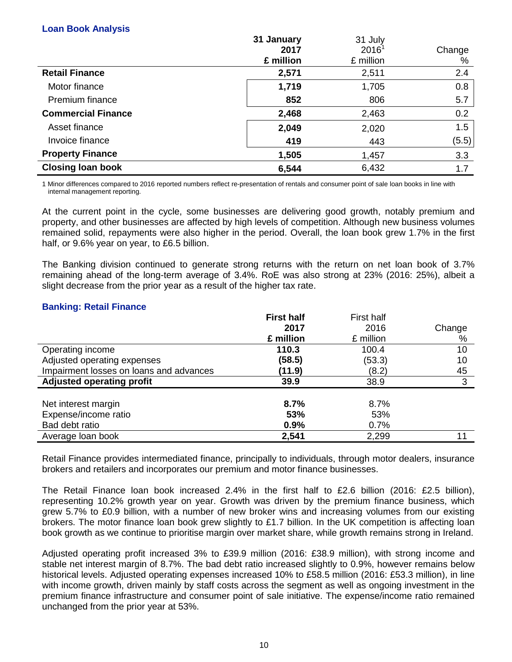### **Loan Book Analysis**

|                           | 31 January | 31 July           |        |
|---------------------------|------------|-------------------|--------|
|                           | 2017       | 2016 <sup>1</sup> | Change |
|                           | £ million  | £ million         | %      |
| <b>Retail Finance</b>     | 2,571      | 2,511             | 2.4    |
| Motor finance             | 1,719      | 1,705             | 0.8    |
| <b>Premium finance</b>    | 852        | 806               | 5.7    |
| <b>Commercial Finance</b> | 2,468      | 2,463             | 0.2    |
| Asset finance             | 2,049      | 2,020             | 1.5    |
| Invoice finance           | 419        | 443               | (5.5)  |
| <b>Property Finance</b>   | 1,505      | 1,457             | 3.3    |
| <b>Closing loan book</b>  | 6,544      | 6,432             | 1.7    |

1 Minor differences compared to 2016 reported numbers reflect re-presentation of rentals and consumer point of sale loan books in line with internal management reporting.

At the current point in the cycle, some businesses are delivering good growth, notably premium and property, and other businesses are affected by high levels of competition. Although new business volumes remained solid, repayments were also higher in the period. Overall, the loan book grew 1.7% in the first half, or 9.6% year on year, to £6.5 billion.

The Banking division continued to generate strong returns with the return on net loan book of 3.7% remaining ahead of the long-term average of 3.4%. RoE was also strong at 23% (2016: 25%), albeit a slight decrease from the prior year as a result of the higher tax rate.

### **Banking: Retail Finance**

|                                         | <b>First half</b> | First half |        |
|-----------------------------------------|-------------------|------------|--------|
|                                         | 2017              | 2016       | Change |
|                                         | £ million         | £ million  | %      |
| Operating income                        | 110.3             | 100.4      | 10     |
| Adjusted operating expenses             | (58.5)            | (53.3)     | 10     |
| Impairment losses on loans and advances | (11.9)            | (8.2)      | 45     |
| <b>Adjusted operating profit</b>        | 39.9              | 38.9       | 3      |
|                                         |                   |            |        |
| Net interest margin                     | 8.7%              | 8.7%       |        |
| Expense/income ratio                    | 53%               | 53%        |        |
| Bad debt ratio                          | 0.9%              | 0.7%       |        |
| Average loan book                       | 2,541             | 2,299      | 11     |

Retail Finance provides intermediated finance, principally to individuals, through motor dealers, insurance brokers and retailers and incorporates our premium and motor finance businesses.

The Retail Finance loan book increased 2.4% in the first half to £2.6 billion (2016: £2.5 billion), representing 10.2% growth year on year. Growth was driven by the premium finance business, which grew 5.7% to £0.9 billion, with a number of new broker wins and increasing volumes from our existing brokers. The motor finance loan book grew slightly to £1.7 billion. In the UK competition is affecting loan book growth as we continue to prioritise margin over market share, while growth remains strong in Ireland.

Adjusted operating profit increased 3% to £39.9 million (2016: £38.9 million), with strong income and stable net interest margin of 8.7%. The bad debt ratio increased slightly to 0.9%, however remains below historical levels. Adjusted operating expenses increased 10% to £58.5 million (2016: £53.3 million), in line with income growth, driven mainly by staff costs across the segment as well as ongoing investment in the premium finance infrastructure and consumer point of sale initiative. The expense/income ratio remained unchanged from the prior year at 53%.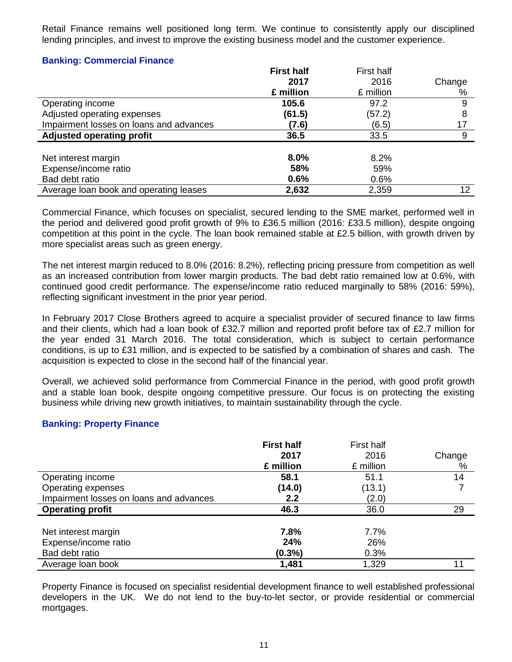Retail Finance remains well positioned long term. We continue to consistently apply our disciplined lending principles, and invest to improve the existing business model and the customer experience.

### **Banking: Commercial Finance**

|                                         | <b>First half</b> | First half |        |
|-----------------------------------------|-------------------|------------|--------|
|                                         | 2017              | 2016       | Change |
|                                         | £ million         | £ million  | %      |
| Operating income                        | 105.6             | 97.2       | 9      |
| Adjusted operating expenses             | (61.5)            | (57.2)     | 8      |
| Impairment losses on loans and advances | (7.6)             | (6.5)      | 17     |
| <b>Adjusted operating profit</b>        | 36.5              | 33.5       | 9      |
|                                         |                   |            |        |
| Net interest margin                     | $8.0\%$           | 8.2%       |        |
| Expense/income ratio                    | 58%               | 59%        |        |
| Bad debt ratio                          | 0.6%              | 0.6%       |        |
| Average loan book and operating leases  | 2,632             | 2,359      | 12     |

Commercial Finance, which focuses on specialist, secured lending to the SME market, performed well in the period and delivered good profit growth of 9% to £36.5 million (2016: £33.5 million), despite ongoing competition at this point in the cycle. The loan book remained stable at £2.5 billion, with growth driven by more specialist areas such as green energy.

The net interest margin reduced to 8.0% (2016: 8.2%), reflecting pricing pressure from competition as well as an increased contribution from lower margin products. The bad debt ratio remained low at 0.6%, with continued good credit performance. The expense/income ratio reduced marginally to 58% (2016: 59%), reflecting significant investment in the prior year period.

In February 2017 Close Brothers agreed to acquire a specialist provider of secured finance to law firms and their clients, which had a loan book of £32.7 million and reported profit before tax of £2.7 million for the year ended 31 March 2016. The total consideration, which is subject to certain performance conditions, is up to £31 million, and is expected to be satisfied by a combination of shares and cash. The acquisition is expected to close in the second half of the financial year.

Overall, we achieved solid performance from Commercial Finance in the period, with good profit growth and a stable loan book, despite ongoing competitive pressure. Our focus is on protecting the existing business while driving new growth initiatives, to maintain sustainability through the cycle.

## **Banking: Property Finance**

|                                         | <b>First half</b> | <b>First half</b> |        |
|-----------------------------------------|-------------------|-------------------|--------|
|                                         | 2017              | 2016              | Change |
|                                         | £ million         | £ million         | $\%$   |
| Operating income                        | 58.1              | 51.1              | 14     |
| Operating expenses                      | (14.0)            | (13.1)            |        |
| Impairment losses on loans and advances | 2.2               | (2.0)             |        |
| <b>Operating profit</b>                 | 46.3              | 36.0              | 29     |
|                                         |                   |                   |        |
| Net interest margin                     | 7.8%              | 7.7%              |        |
| Expense/income ratio                    | 24%               | 26%               |        |
| Bad debt ratio                          | $(0.3\%)$         | 0.3%              |        |
| Average loan book                       | 1,481             | 1,329             | 11     |

Property Finance is focused on specialist residential development finance to well established professional developers in the UK. We do not lend to the buy-to-let sector, or provide residential or commercial mortgages.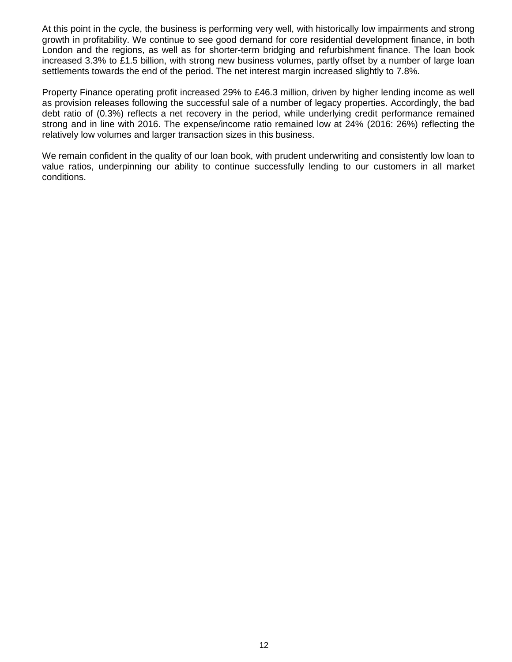At this point in the cycle, the business is performing very well, with historically low impairments and strong growth in profitability. We continue to see good demand for core residential development finance, in both London and the regions, as well as for shorter-term bridging and refurbishment finance. The loan book increased 3.3% to £1.5 billion, with strong new business volumes, partly offset by a number of large loan settlements towards the end of the period. The net interest margin increased slightly to 7.8%.

Property Finance operating profit increased 29% to £46.3 million, driven by higher lending income as well as provision releases following the successful sale of a number of legacy properties. Accordingly, the bad debt ratio of (0.3%) reflects a net recovery in the period, while underlying credit performance remained strong and in line with 2016. The expense/income ratio remained low at 24% (2016: 26%) reflecting the relatively low volumes and larger transaction sizes in this business.

We remain confident in the quality of our loan book, with prudent underwriting and consistently low loan to value ratios, underpinning our ability to continue successfully lending to our customers in all market conditions.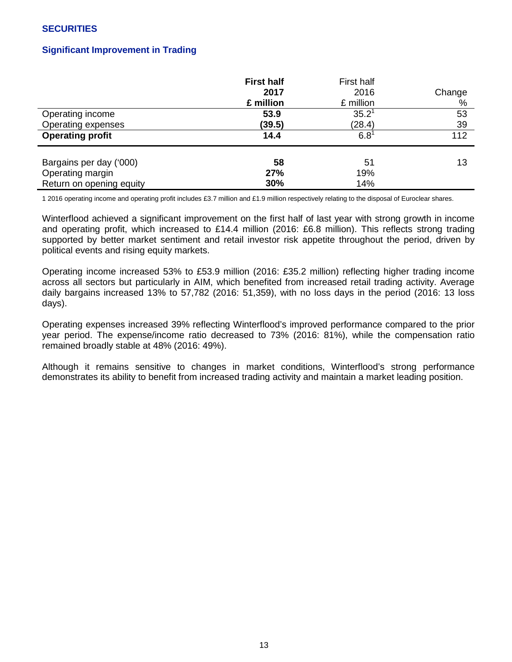## **SECURITIES**

## **Significant Improvement in Trading**

|                          | <b>First half</b> | First half |        |
|--------------------------|-------------------|------------|--------|
|                          | 2017              | 2016       | Change |
|                          | £ million         | £ million  | $\%$   |
| Operating income         | 53.9              | $35.2^1$   | 53     |
| Operating expenses       | (39.5)            | (28.4)     | 39     |
| <b>Operating profit</b>  | 14.4              | 6.8        | 112    |
|                          |                   |            |        |
| Bargains per day ('000)  | 58                | 51         | 13     |
| Operating margin         | 27%               | 19%        |        |
| Return on opening equity | 30%               | 14%        |        |

1 2016 operating income and operating profit includes £3.7 million and £1.9 million respectively relating to the disposal of Euroclear shares.

Winterflood achieved a significant improvement on the first half of last year with strong growth in income and operating profit, which increased to £14.4 million (2016: £6.8 million). This reflects strong trading supported by better market sentiment and retail investor risk appetite throughout the period, driven by political events and rising equity markets.

Operating income increased 53% to £53.9 million (2016: £35.2 million) reflecting higher trading income across all sectors but particularly in AIM, which benefited from increased retail trading activity. Average daily bargains increased 13% to 57,782 (2016: 51,359), with no loss days in the period (2016: 13 loss days).

Operating expenses increased 39% reflecting Winterflood's improved performance compared to the prior year period. The expense/income ratio decreased to 73% (2016: 81%), while the compensation ratio remained broadly stable at 48% (2016: 49%).

Although it remains sensitive to changes in market conditions, Winterflood's strong performance demonstrates its ability to benefit from increased trading activity and maintain a market leading position.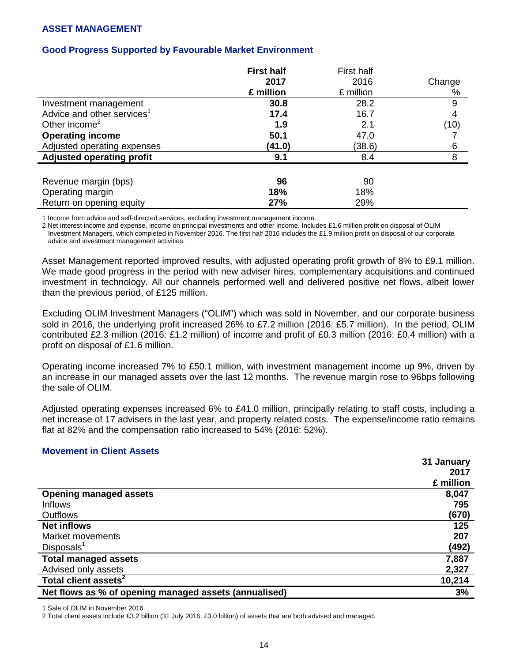#### **ASSET MANAGEMENT**

### **Good Progress Supported by Favourable Market Environment**

|                                        | <b>First half</b> | First half |        |
|----------------------------------------|-------------------|------------|--------|
|                                        | 2017              | 2016       | Change |
|                                        | £ million         | £ million  | %      |
| Investment management                  | 30.8              | 28.2       | 9      |
| Advice and other services <sup>1</sup> | 17.4              | 16.7       | 4      |
| Other income <sup>2</sup>              | 1.9               | 2.1        | (10)   |
| <b>Operating income</b>                | 50.1              | 47.0       |        |
| Adjusted operating expenses            | (41.0)            | (38.6)     | 6      |
| <b>Adjusted operating profit</b>       | 9.1               | 8.4        | 8      |
|                                        |                   |            |        |
| Revenue margin (bps)                   | 96                | 90         |        |
| Operating margin                       | 18%               | 18%        |        |
| Return on opening equity               | 27%               | 29%        |        |

1 Income from advice and self-directed services, excluding investment management income.

2 Net interest income and expense, income on principal investments and other income. Includes £1.6 million profit on disposal of OLIM Investment Managers, which completed in November 2016. The first half 2016 includes the £1.9 million profit on disposal of our corporate advice and investment management activities.

Asset Management reported improved results, with adjusted operating profit growth of 8% to £9.1 million. We made good progress in the period with new adviser hires, complementary acquisitions and continued investment in technology. All our channels performed well and delivered positive net flows, albeit lower than the previous period, of £125 million.

Excluding OLIM Investment Managers ("OLIM") which was sold in November, and our corporate business sold in 2016, the underlying profit increased 26% to £7.2 million (2016: £5.7 million). In the period, OLIM contributed £2.3 million (2016: £1.2 million) of income and profit of £0.3 million (2016: £0.4 million) with a profit on disposal of £1.6 million.

Operating income increased 7% to £50.1 million, with investment management income up 9%, driven by an increase in our managed assets over the last 12 months. The revenue margin rose to 96bps following the sale of OLIM.

Adjusted operating expenses increased 6% to £41.0 million, principally relating to staff costs, including a net increase of 17 advisers in the last year, and property related costs. The expense/income ratio remains flat at 82% and the compensation ratio increased to 54% (2016: 52%).

## **Movement in Client Assets**

|                                                       | 31 January |
|-------------------------------------------------------|------------|
|                                                       | 2017       |
|                                                       | £ million  |
| <b>Opening managed assets</b>                         | 8,047      |
| <b>Inflows</b>                                        | 795        |
| <b>Outflows</b>                                       | (670)      |
| <b>Net inflows</b>                                    | 125        |
| Market movements                                      | 207        |
| Disposals <sup>1</sup>                                | (492)      |
| <b>Total managed assets</b>                           | 7,887      |
| Advised only assets                                   | 2,327      |
| Total client assets <sup>2</sup>                      | 10,214     |
| Net flows as % of opening managed assets (annualised) | 3%         |

1 Sale of OLIM in November 2016.

2 Total client assets include £3.2 billion (31 July 2016: £3.0 billion) of assets that are both advised and managed.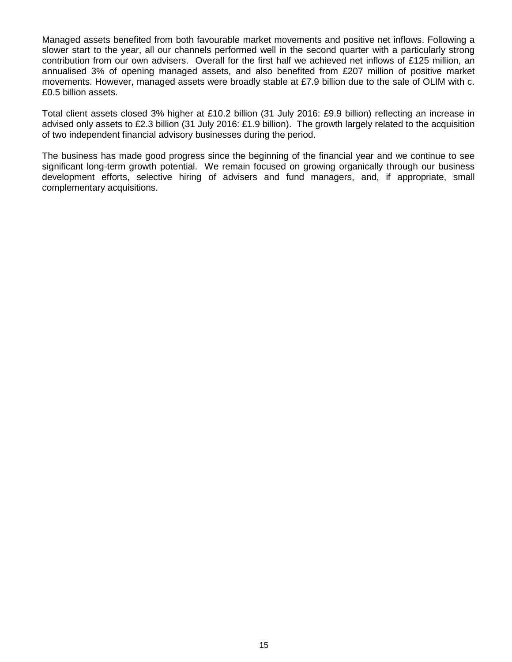Managed assets benefited from both favourable market movements and positive net inflows. Following a slower start to the year, all our channels performed well in the second quarter with a particularly strong contribution from our own advisers. Overall for the first half we achieved net inflows of £125 million, an annualised 3% of opening managed assets, and also benefited from £207 million of positive market movements. However, managed assets were broadly stable at £7.9 billion due to the sale of OLIM with c. £0.5 billion assets.

Total client assets closed 3% higher at £10.2 billion (31 July 2016: £9.9 billion) reflecting an increase in advised only assets to £2.3 billion (31 July 2016: £1.9 billion). The growth largely related to the acquisition of two independent financial advisory businesses during the period.

The business has made good progress since the beginning of the financial year and we continue to see significant long-term growth potential. We remain focused on growing organically through our business development efforts, selective hiring of advisers and fund managers, and, if appropriate, small complementary acquisitions.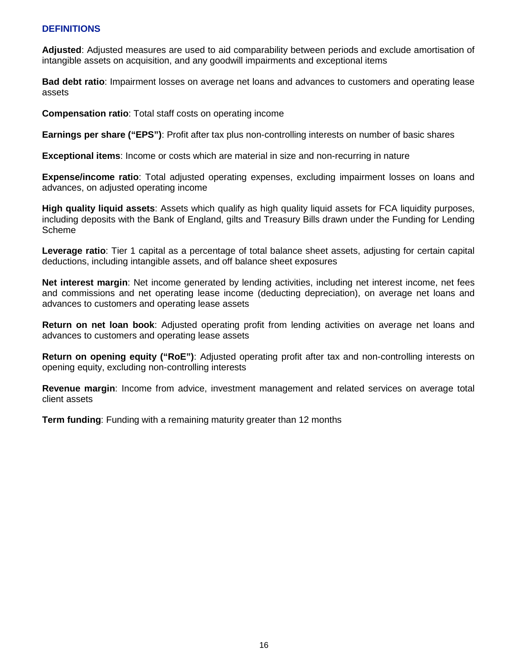## **DEFINITIONS**

**Adjusted**: Adjusted measures are used to aid comparability between periods and exclude amortisation of intangible assets on acquisition, and any goodwill impairments and exceptional items

**Bad debt ratio**: Impairment losses on average net loans and advances to customers and operating lease assets

**Compensation ratio**: Total staff costs on operating income

**Earnings per share ("EPS")**: Profit after tax plus non-controlling interests on number of basic shares

**Exceptional items**: Income or costs which are material in size and non-recurring in nature

**Expense/income ratio**: Total adjusted operating expenses, excluding impairment losses on loans and advances, on adjusted operating income

**High quality liquid assets**: Assets which qualify as high quality liquid assets for FCA liquidity purposes, including deposits with the Bank of England, gilts and Treasury Bills drawn under the Funding for Lending Scheme

**Leverage ratio**: Tier 1 capital as a percentage of total balance sheet assets, adjusting for certain capital deductions, including intangible assets, and off balance sheet exposures

**Net interest margin**: Net income generated by lending activities, including net interest income, net fees and commissions and net operating lease income (deducting depreciation), on average net loans and advances to customers and operating lease assets

**Return on net loan book**: Adjusted operating profit from lending activities on average net loans and advances to customers and operating lease assets

**Return on opening equity ("RoE")**: Adjusted operating profit after tax and non-controlling interests on opening equity, excluding non-controlling interests

**Revenue margin**: Income from advice, investment management and related services on average total client assets

**Term funding**: Funding with a remaining maturity greater than 12 months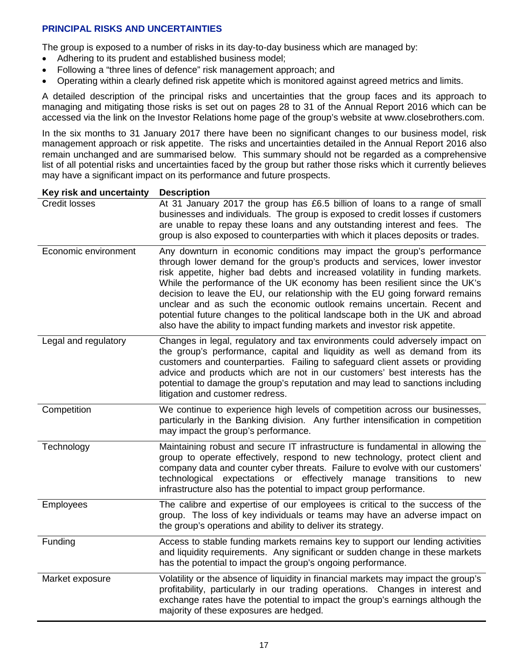## **PRINCIPAL RISKS AND UNCERTAINTIES**

The group is exposed to a number of risks in its day-to-day business which are managed by:

- Adhering to its prudent and established business model;
- Following a "three lines of defence" risk management approach; and
- Operating within a clearly defined risk appetite which is monitored against agreed metrics and limits.

A detailed description of the principal risks and uncertainties that the group faces and its approach to managing and mitigating those risks is set out on pages 28 to 31 of the Annual Report 2016 which can be accessed via the link on the Investor Relations home page of the group's website at www.closebrothers.com.

In the six months to 31 January 2017 there have been no significant changes to our business model, risk management approach or risk appetite. The risks and uncertainties detailed in the Annual Report 2016 also remain unchanged and are summarised below. This summary should not be regarded as a comprehensive list of all potential risks and uncertainties faced by the group but rather those risks which it currently believes may have a significant impact on its performance and future prospects.

| Key risk and uncertainty | <b>Description</b>                                                                                                                                                                                                                                                                                                                                                                                                                                                                                                                                                                                                                          |
|--------------------------|---------------------------------------------------------------------------------------------------------------------------------------------------------------------------------------------------------------------------------------------------------------------------------------------------------------------------------------------------------------------------------------------------------------------------------------------------------------------------------------------------------------------------------------------------------------------------------------------------------------------------------------------|
| <b>Credit losses</b>     | At 31 January 2017 the group has £6.5 billion of loans to a range of small<br>businesses and individuals. The group is exposed to credit losses if customers<br>are unable to repay these loans and any outstanding interest and fees. The<br>group is also exposed to counterparties with which it places deposits or trades.                                                                                                                                                                                                                                                                                                              |
| Economic environment     | Any downturn in economic conditions may impact the group's performance<br>through lower demand for the group's products and services, lower investor<br>risk appetite, higher bad debts and increased volatility in funding markets.<br>While the performance of the UK economy has been resilient since the UK's<br>decision to leave the EU, our relationship with the EU going forward remains<br>unclear and as such the economic outlook remains uncertain. Recent and<br>potential future changes to the political landscape both in the UK and abroad<br>also have the ability to impact funding markets and investor risk appetite. |
| Legal and regulatory     | Changes in legal, regulatory and tax environments could adversely impact on<br>the group's performance, capital and liquidity as well as demand from its<br>customers and counterparties. Failing to safeguard client assets or providing<br>advice and products which are not in our customers' best interests has the<br>potential to damage the group's reputation and may lead to sanctions including<br>litigation and customer redress.                                                                                                                                                                                               |
| Competition              | We continue to experience high levels of competition across our businesses,<br>particularly in the Banking division. Any further intensification in competition<br>may impact the group's performance.                                                                                                                                                                                                                                                                                                                                                                                                                                      |
| Technology               | Maintaining robust and secure IT infrastructure is fundamental in allowing the<br>group to operate effectively, respond to new technology, protect client and<br>company data and counter cyber threats. Failure to evolve with our customers'<br>technological expectations or effectively<br>manage transitions to<br>new<br>infrastructure also has the potential to impact group performance.                                                                                                                                                                                                                                           |
| Employees                | The calibre and expertise of our employees is critical to the success of the<br>group. The loss of key individuals or teams may have an adverse impact on<br>the group's operations and ability to deliver its strategy.                                                                                                                                                                                                                                                                                                                                                                                                                    |
| Funding                  | Access to stable funding markets remains key to support our lending activities<br>and liquidity requirements. Any significant or sudden change in these markets<br>has the potential to impact the group's ongoing performance.                                                                                                                                                                                                                                                                                                                                                                                                             |
| Market exposure          | Volatility or the absence of liquidity in financial markets may impact the group's<br>profitability, particularly in our trading operations. Changes in interest and<br>exchange rates have the potential to impact the group's earnings although the<br>majority of these exposures are hedged.                                                                                                                                                                                                                                                                                                                                            |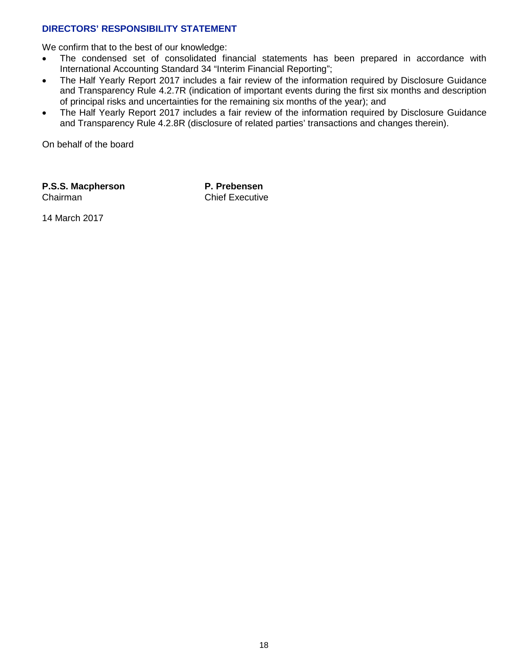## **DIRECTORS' RESPONSIBILITY STATEMENT**

We confirm that to the best of our knowledge:

- The condensed set of consolidated financial statements has been prepared in accordance with International Accounting Standard 34 "Interim Financial Reporting";
- The Half Yearly Report 2017 includes a fair review of the information required by Disclosure Guidance and Transparency Rule 4.2.7R (indication of important events during the first six months and description of principal risks and uncertainties for the remaining six months of the year); and
- The Half Yearly Report 2017 includes a fair review of the information required by Disclosure Guidance and Transparency Rule 4.2.8R (disclosure of related parties' transactions and changes therein).

On behalf of the board

**P.S.S. Macpherson** Chairman

**P. Prebensen** Chief Executive

14 March 2017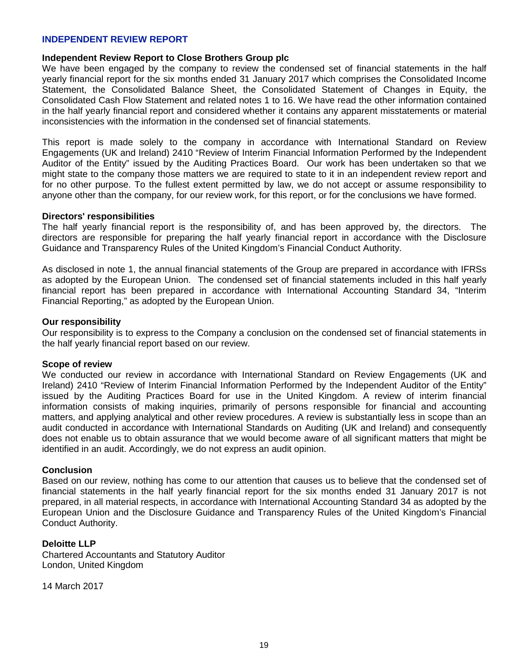#### **INDEPENDENT REVIEW REPORT**

#### **Independent Review Report to Close Brothers Group plc**

We have been engaged by the company to review the condensed set of financial statements in the half yearly financial report for the six months ended 31 January 2017 which comprises the Consolidated Income Statement, the Consolidated Balance Sheet, the Consolidated Statement of Changes in Equity, the Consolidated Cash Flow Statement and related notes 1 to 16. We have read the other information contained in the half yearly financial report and considered whether it contains any apparent misstatements or material inconsistencies with the information in the condensed set of financial statements.

This report is made solely to the company in accordance with International Standard on Review Engagements (UK and Ireland) 2410 "Review of Interim Financial Information Performed by the Independent Auditor of the Entity" issued by the Auditing Practices Board. Our work has been undertaken so that we might state to the company those matters we are required to state to it in an independent review report and for no other purpose. To the fullest extent permitted by law, we do not accept or assume responsibility to anyone other than the company, for our review work, for this report, or for the conclusions we have formed.

#### **Directors' responsibilities**

The half yearly financial report is the responsibility of, and has been approved by, the directors. The directors are responsible for preparing the half yearly financial report in accordance with the Disclosure Guidance and Transparency Rules of the United Kingdom's Financial Conduct Authority.

As disclosed in note 1, the annual financial statements of the Group are prepared in accordance with IFRSs as adopted by the European Union. The condensed set of financial statements included in this half yearly financial report has been prepared in accordance with International Accounting Standard 34, "Interim Financial Reporting," as adopted by the European Union.

#### **Our responsibility**

Our responsibility is to express to the Company a conclusion on the condensed set of financial statements in the half yearly financial report based on our review.

#### **Scope of review**

We conducted our review in accordance with International Standard on Review Engagements (UK and Ireland) 2410 "Review of Interim Financial Information Performed by the Independent Auditor of the Entity" issued by the Auditing Practices Board for use in the United Kingdom. A review of interim financial information consists of making inquiries, primarily of persons responsible for financial and accounting matters, and applying analytical and other review procedures. A review is substantially less in scope than an audit conducted in accordance with International Standards on Auditing (UK and Ireland) and consequently does not enable us to obtain assurance that we would become aware of all significant matters that might be identified in an audit. Accordingly, we do not express an audit opinion.

#### **Conclusion**

Based on our review, nothing has come to our attention that causes us to believe that the condensed set of financial statements in the half yearly financial report for the six months ended 31 January 2017 is not prepared, in all material respects, in accordance with International Accounting Standard 34 as adopted by the European Union and the Disclosure Guidance and Transparency Rules of the United Kingdom's Financial Conduct Authority.

#### **Deloitte LLP**

Chartered Accountants and Statutory Auditor London, United Kingdom

14 March 2017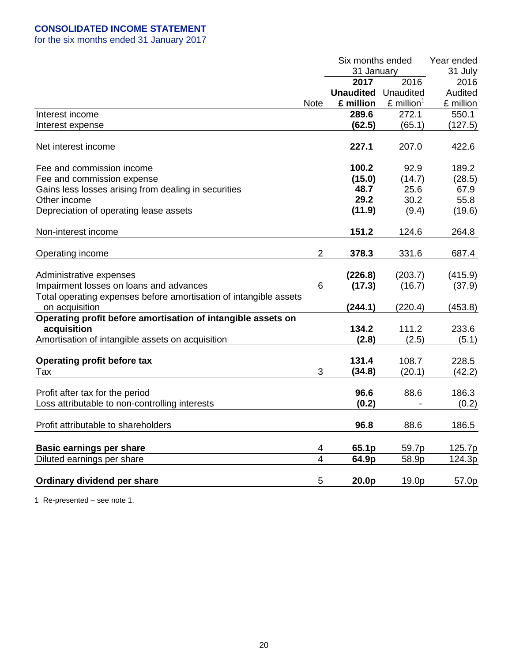# **CONSOLIDATED INCOME STATEMENT**

for the six months ended 31 January 2017

|                                                                   | Six months ended |                        | Year ended |
|-------------------------------------------------------------------|------------------|------------------------|------------|
|                                                                   | 31 January       |                        | 31 July    |
|                                                                   | 2017             | 2016                   | 2016       |
|                                                                   | <b>Unaudited</b> | Unaudited              | Audited    |
| <b>Note</b>                                                       | £ million        | £ million <sup>1</sup> | £ million  |
| Interest income                                                   | 289.6            | 272.1                  | 550.1      |
| Interest expense                                                  | (62.5)           | (65.1)                 | (127.5)    |
|                                                                   |                  |                        |            |
| Net interest income                                               | 227.1            | 207.0                  | 422.6      |
|                                                                   |                  |                        |            |
| Fee and commission income                                         | 100.2            | 92.9                   | 189.2      |
| Fee and commission expense                                        | (15.0)           | (14.7)                 | (28.5)     |
| Gains less losses arising from dealing in securities              | 48.7             | 25.6                   | 67.9       |
| Other income                                                      | 29.2             | 30.2                   | 55.8       |
| Depreciation of operating lease assets                            | (11.9)           | (9.4)                  | (19.6)     |
|                                                                   |                  |                        |            |
| Non-interest income                                               | 151.2            | 124.6                  | 264.8      |
|                                                                   |                  |                        |            |
| $\overline{2}$<br>Operating income                                | 378.3            | 331.6                  | 687.4      |
|                                                                   |                  |                        |            |
| Administrative expenses                                           | (226.8)          | (203.7)                | (415.9)    |
| Impairment losses on loans and advances<br>6                      | (17.3)           | (16.7)                 | (37.9)     |
| Total operating expenses before amortisation of intangible assets |                  |                        |            |
| on acquisition                                                    | (244.1)          | (220.4)                | (453.8)    |
| Operating profit before amortisation of intangible assets on      |                  |                        |            |
| acquisition                                                       | 134.2            | 111.2                  | 233.6      |
| Amortisation of intangible assets on acquisition                  | (2.8)            | (2.5)                  | (5.1)      |
|                                                                   |                  |                        |            |
| <b>Operating profit before tax</b>                                | 131.4            | 108.7                  | 228.5      |
| 3<br>Tax                                                          | (34.8)           | (20.1)                 | (42.2)     |
|                                                                   |                  |                        |            |
| Profit after tax for the period                                   | 96.6             | 88.6                   | 186.3      |
| Loss attributable to non-controlling interests                    | (0.2)            |                        | (0.2)      |
|                                                                   |                  |                        |            |
| Profit attributable to shareholders                               | 96.8             | 88.6                   | 186.5      |
|                                                                   |                  |                        |            |
| <b>Basic earnings per share</b><br>4                              | 65.1p            | 59.7p                  | 125.7p     |
| 4<br>Diluted earnings per share                                   | 64.9p            | 58.9p                  | 124.3p     |
| Ordinary dividend per share<br>5                                  | 20.0p            | 19.0p                  | 57.0p      |

1 Re-presented – see note 1.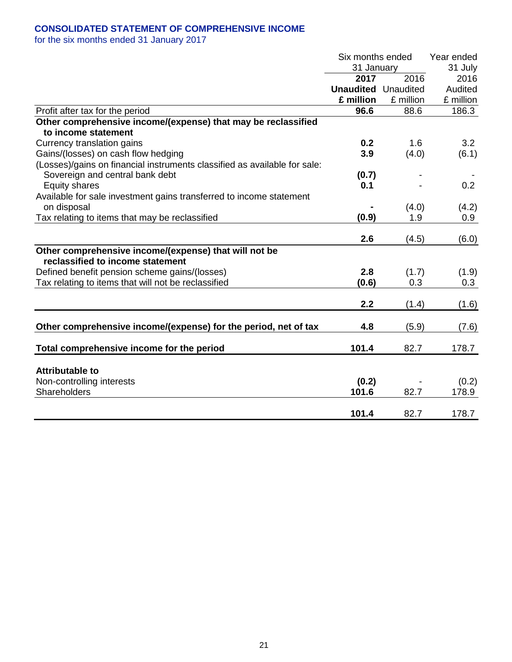## **CONSOLIDATED STATEMENT OF COMPREHENSIVE INCOME**

for the six months ended 31 January 2017

|                                                                                           | Six months ended<br>31 January | Year ended<br>31 July |           |
|-------------------------------------------------------------------------------------------|--------------------------------|-----------------------|-----------|
|                                                                                           | 2017                           | 2016                  | 2016      |
|                                                                                           | <b>Unaudited</b> Unaudited     |                       | Audited   |
|                                                                                           | £ million                      | £ million             | £ million |
| Profit after tax for the period                                                           | 96.6                           | 88.6                  | 186.3     |
| Other comprehensive income/(expense) that may be reclassified                             |                                |                       |           |
| to income statement                                                                       |                                |                       |           |
| Currency translation gains                                                                | 0.2                            | 1.6                   | 3.2       |
| Gains/(losses) on cash flow hedging                                                       | 3.9                            | (4.0)                 | (6.1)     |
| (Losses)/gains on financial instruments classified as available for sale:                 |                                |                       |           |
| Sovereign and central bank debt                                                           | (0.7)                          |                       |           |
| <b>Equity shares</b>                                                                      | 0.1                            |                       | 0.2       |
| Available for sale investment gains transferred to income statement                       |                                |                       |           |
| on disposal                                                                               |                                | (4.0)                 | (4.2)     |
| Tax relating to items that may be reclassified                                            | (0.9)                          | 1.9                   | 0.9       |
|                                                                                           |                                |                       |           |
|                                                                                           | 2.6                            | (4.5)                 | (6.0)     |
| Other comprehensive income/(expense) that will not be<br>reclassified to income statement |                                |                       |           |
| Defined benefit pension scheme gains/(losses)                                             | 2.8                            | (1.7)                 | (1.9)     |
| Tax relating to items that will not be reclassified                                       | (0.6)                          | 0.3                   | 0.3       |
|                                                                                           | 2.2                            | (1.4)                 | (1.6)     |
|                                                                                           |                                |                       |           |
| Other comprehensive income/(expense) for the period, net of tax                           | 4.8                            | (5.9)                 | (7.6)     |
| Total comprehensive income for the period                                                 | 101.4                          | 82.7                  | 178.7     |
| <b>Attributable to</b>                                                                    |                                |                       |           |
| Non-controlling interests                                                                 | (0.2)                          |                       | (0.2)     |
| Shareholders                                                                              | 101.6                          | 82.7                  | 178.9     |
|                                                                                           |                                |                       |           |
|                                                                                           | 101.4                          | 82.7                  | 178.7     |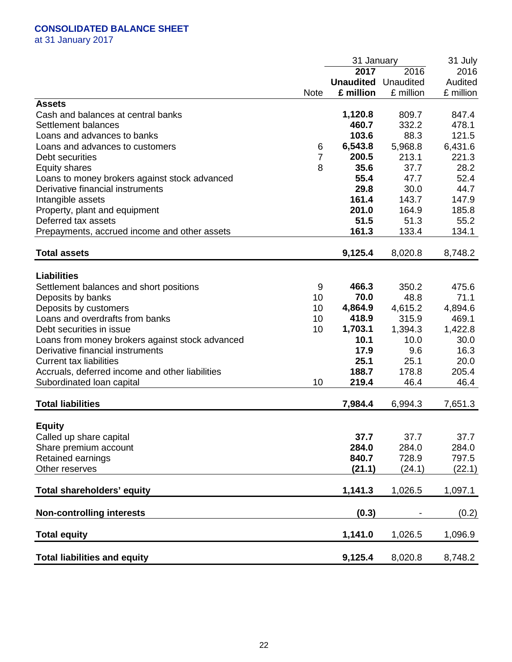## **CONSOLIDATED BALANCE SHEET**

at 31 January 2017

|                                                 |                | 31 January       |           | 31 July   |
|-------------------------------------------------|----------------|------------------|-----------|-----------|
|                                                 |                | 2017             | 2016      | 2016      |
|                                                 |                | <b>Unaudited</b> | Unaudited | Audited   |
|                                                 | <b>Note</b>    | £ million        | £ million | £ million |
| <b>Assets</b>                                   |                |                  |           |           |
| Cash and balances at central banks              |                | 1,120.8          | 809.7     | 847.4     |
| Settlement balances                             |                | 460.7            | 332.2     | 478.1     |
| Loans and advances to banks                     |                | 103.6            | 88.3      | 121.5     |
| Loans and advances to customers                 | 6              | 6,543.8          | 5,968.8   | 6,431.6   |
| Debt securities                                 | $\overline{7}$ | 200.5            | 213.1     | 221.3     |
| <b>Equity shares</b>                            | 8              | 35.6             | 37.7      | 28.2      |
| Loans to money brokers against stock advanced   |                | 55.4             | 47.7      | 52.4      |
| Derivative financial instruments                |                | 29.8             | 30.0      | 44.7      |
| Intangible assets                               |                | 161.4            | 143.7     | 147.9     |
| Property, plant and equipment                   |                | 201.0            | 164.9     | 185.8     |
| Deferred tax assets                             |                | 51.5             | 51.3      | 55.2      |
| Prepayments, accrued income and other assets    |                | 161.3            | 133.4     | 134.1     |
|                                                 |                |                  |           |           |
| <b>Total assets</b>                             |                | 9,125.4          | 8,020.8   | 8,748.2   |
|                                                 |                |                  |           |           |
| <b>Liabilities</b>                              |                |                  |           |           |
| Settlement balances and short positions         | 9              | 466.3            | 350.2     | 475.6     |
| Deposits by banks                               | 10             | 70.0             | 48.8      | 71.1      |
| Deposits by customers                           | 10             | 4,864.9          | 4,615.2   | 4,894.6   |
| Loans and overdrafts from banks                 | 10             | 418.9            | 315.9     | 469.1     |
| Debt securities in issue                        | 10             | 1,703.1          | 1,394.3   | 1,422.8   |
| Loans from money brokers against stock advanced |                | 10.1             | 10.0      | 30.0      |
| Derivative financial instruments                |                | 17.9             | 9.6       | 16.3      |
| <b>Current tax liabilities</b>                  |                | 25.1             | 25.1      | 20.0      |
| Accruals, deferred income and other liabilities |                | 188.7            | 178.8     | 205.4     |
| Subordinated loan capital                       | 10             | 219.4            | 46.4      | 46.4      |
|                                                 |                |                  |           |           |
| <b>Total liabilities</b>                        |                | 7,984.4          | 6,994.3   | 7,651.3   |
|                                                 |                |                  |           |           |
| <b>Equity</b>                                   |                |                  |           |           |
| Called up share capital                         |                | 37.7             | 37.7      | 37.7      |
| Share premium account                           |                | 284.0            | 284.0     | 284.0     |
| Retained earnings                               |                | 840.7            | 728.9     | 797.5     |
| Other reserves                                  |                | (21.1)           | (24.1)    | (22.1)    |
|                                                 |                |                  |           |           |
| Total shareholders' equity                      |                | 1,141.3          | 1,026.5   | 1,097.1   |
| <b>Non-controlling interests</b>                |                | (0.3)            |           | (0.2)     |
|                                                 |                | 1,141.0          |           |           |
| <b>Total equity</b>                             |                |                  | 1,026.5   | 1,096.9   |
| <b>Total liabilities and equity</b>             |                | 9,125.4          | 8,020.8   | 8,748.2   |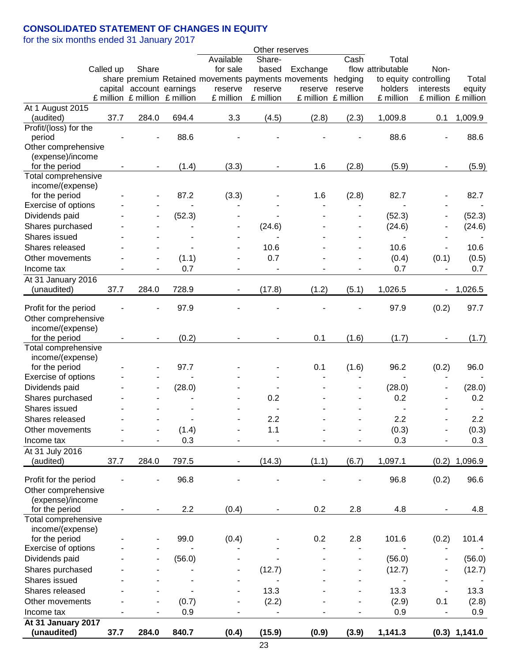## **CONSOLIDATED STATEMENT OF CHANGES IN EQUITY**

for the six months ended 31 January 2017

| on months chaca or canadry              |           |       |                               |           | Other reserves |                                                             |                     |                   |                       |                     |
|-----------------------------------------|-----------|-------|-------------------------------|-----------|----------------|-------------------------------------------------------------|---------------------|-------------------|-----------------------|---------------------|
|                                         |           |       |                               | Available | Share-         |                                                             | Cash                | Total             |                       |                     |
|                                         | Called up | Share |                               | for sale  | based          | Exchange                                                    |                     | flow attributable | Non-                  |                     |
|                                         |           |       |                               |           |                | share premium Retained movements payments movements hedging |                     |                   | to equity controlling | Total               |
|                                         |           |       | capital account earnings      | reserve   | reserve        | reserve                                                     | reserve             | holders           | interests             | equity              |
|                                         |           |       | £ million £ million £ million | £ million | £ million      |                                                             | £ million £ million | £ million         |                       | £ million £ million |
| At 1 August 2015<br>(audited)           | 37.7      | 284.0 | 694.4                         | 3.3       | (4.5)          | (2.8)                                                       | (2.3)               | 1,009.8           | 0.1                   | 1,009.9             |
| Profit/(loss) for the<br>period         |           |       | 88.6                          |           |                |                                                             |                     | 88.6              |                       | 88.6                |
| Other comprehensive<br>(expense)/income |           |       |                               |           |                |                                                             |                     |                   |                       |                     |
| for the period                          |           |       | (1.4)                         | (3.3)     |                | 1.6                                                         | (2.8)               | (5.9)             |                       | (5.9)               |
| Total comprehensive                     |           |       |                               |           |                |                                                             |                     |                   |                       |                     |
| income/(expense)                        |           |       |                               |           |                |                                                             |                     |                   |                       |                     |
| for the period                          |           |       | 87.2                          | (3.3)     |                | 1.6                                                         | (2.8)               | 82.7              |                       | 82.7                |
| Exercise of options                     |           |       | $\blacksquare$                |           |                |                                                             |                     |                   |                       |                     |
| Dividends paid                          |           |       | (52.3)                        |           |                |                                                             |                     | (52.3)            |                       | (52.3)              |
| Shares purchased                        |           |       |                               |           | (24.6)         |                                                             |                     | (24.6)            |                       | (24.6)              |
| Shares issued                           |           |       |                               |           |                |                                                             |                     |                   |                       |                     |
| Shares released                         |           |       |                               |           | 10.6           |                                                             |                     | 10.6              |                       | 10.6                |
| Other movements                         |           |       | (1.1)                         |           | 0.7            |                                                             |                     | (0.4)             | (0.1)                 | (0.5)               |
| Income tax                              |           |       | 0.7                           |           |                |                                                             |                     | 0.7               |                       | 0.7                 |
| At 31 January 2016                      |           |       |                               |           |                |                                                             |                     |                   |                       |                     |
| (unaudited)                             | 37.7      | 284.0 | 728.9                         |           | (17.8)         | (1.2)                                                       | (5.1)               | 1,026.5           |                       | 1,026.5             |
| Profit for the period                   |           |       | 97.9                          |           |                |                                                             |                     | 97.9              | (0.2)                 | 97.7                |
| Other comprehensive<br>income/(expense) |           |       |                               |           |                |                                                             |                     |                   |                       |                     |
| for the period                          |           |       | (0.2)                         |           |                | 0.1                                                         | (1.6)               | (1.7)             |                       | (1.7)               |
| Total comprehensive                     |           |       |                               |           |                |                                                             |                     |                   |                       |                     |
| income/(expense)<br>for the period      |           |       | 97.7                          |           |                | 0.1                                                         | (1.6)               | 96.2              | (0.2)                 | 96.0                |
| Exercise of options                     |           |       |                               |           |                |                                                             |                     |                   |                       |                     |
| Dividends paid                          |           |       | (28.0)                        |           |                |                                                             |                     | (28.0)            |                       | (28.0)              |
| Shares purchased                        |           |       |                               |           | 0.2            |                                                             |                     | 0.2               |                       | 0.2                 |
| Shares issued                           |           |       |                               |           |                |                                                             |                     |                   |                       |                     |
|                                         |           |       |                               |           |                |                                                             |                     |                   |                       |                     |
| Shares released                         |           |       |                               |           | 2.2<br>1.1     |                                                             |                     | 2.2               |                       | $2.2^{\circ}$       |
| Other movements                         |           |       | (1.4)                         |           |                |                                                             |                     | (0.3)             |                       | (0.3)               |
| Income tax                              |           |       | 0.3                           |           |                |                                                             |                     | 0.3               |                       | 0.3                 |
| At 31 July 2016<br>(audited)            | 37.7      | 284.0 | 797.5                         |           | (14.3)         | (1.1)                                                       | (6.7)               | 1,097.1           | (0.2)                 | 1,096.9             |
|                                         |           |       | 96.8                          |           |                |                                                             |                     | 96.8              |                       |                     |
| Profit for the period                   |           |       |                               |           |                |                                                             |                     |                   | (0.2)                 | 96.6                |
| Other comprehensive<br>(expense)/income |           |       |                               |           |                |                                                             |                     |                   |                       |                     |
| for the period                          |           |       | 2.2                           | (0.4)     |                | 0.2                                                         | 2.8                 | 4.8               |                       | 4.8                 |
| Total comprehensive                     |           |       |                               |           |                |                                                             |                     |                   |                       |                     |
| income/(expense)<br>for the period      |           |       | 99.0                          | (0.4)     |                | 0.2                                                         | 2.8                 | 101.6             | (0.2)                 | 101.4               |
| Exercise of options                     |           |       |                               |           |                |                                                             |                     |                   |                       |                     |
| Dividends paid                          |           |       | (56.0)                        |           |                |                                                             |                     | (56.0)            |                       | (56.0)              |
| Shares purchased                        |           |       |                               |           | (12.7)         |                                                             |                     | (12.7)            |                       | (12.7)              |
| Shares issued                           |           |       |                               |           |                |                                                             |                     |                   |                       |                     |
|                                         |           |       |                               |           |                |                                                             |                     |                   | $\overline{a}$        |                     |
| Shares released                         |           |       |                               |           | 13.3           |                                                             |                     | 13.3              |                       | 13.3                |
| Other movements                         |           |       | (0.7)                         |           | (2.2)          |                                                             |                     | (2.9)             | 0.1                   | (2.8)               |
| Income tax                              |           |       | 0.9                           |           |                |                                                             |                     | 0.9               |                       | 0.9                 |
| At 31 January 2017<br>(unaudited)       | 37.7      | 284.0 | 840.7                         | (0.4)     | (15.9)         | (0.9)                                                       | (3.9)               | 1,141.3           |                       | $(0.3)$ 1,141.0     |
|                                         |           |       |                               |           |                |                                                             |                     |                   |                       |                     |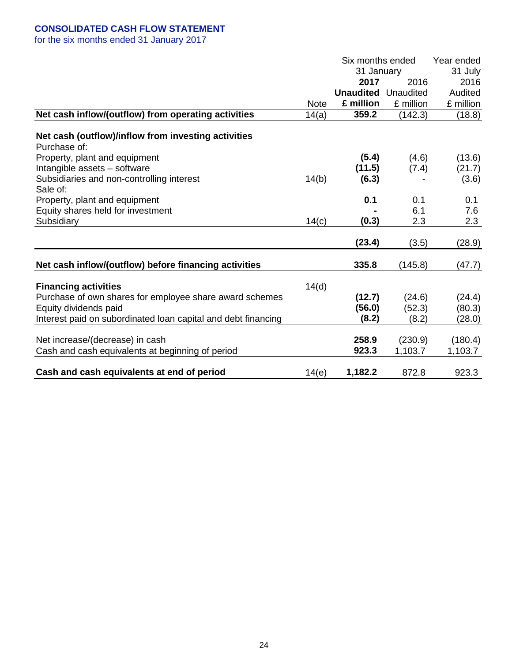## **CONSOLIDATED CASH FLOW STATEMENT**

for the six months ended 31 January 2017

|                                                                                     |             | Six months ended           |                    | Year ended         |
|-------------------------------------------------------------------------------------|-------------|----------------------------|--------------------|--------------------|
|                                                                                     |             | 31 January                 |                    | 31 July            |
|                                                                                     |             | 2017                       | 2016               | 2016               |
|                                                                                     |             | <b>Unaudited</b> Unaudited |                    | Audited            |
|                                                                                     | <b>Note</b> | £ million                  | £ million          | £ million          |
| Net cash inflow/(outflow) from operating activities                                 | 14(a)       | 359.2                      | (142.3)            | (18.8)             |
| Net cash (outflow)/inflow from investing activities<br>Purchase of:                 |             |                            |                    |                    |
| Property, plant and equipment                                                       |             | (5.4)                      | (4.6)              | (13.6)             |
| Intangible assets - software                                                        |             | (11.5)                     | (7.4)              | (21.7)             |
| Subsidiaries and non-controlling interest                                           | 14(b)       | (6.3)                      |                    | (3.6)              |
| Sale of:                                                                            |             |                            |                    |                    |
| Property, plant and equipment                                                       |             | 0.1                        | 0.1                | 0.1                |
| Equity shares held for investment                                                   |             |                            | 6.1                | 7.6                |
| Subsidiary                                                                          | 14(c)       | (0.3)                      | 2.3                | 2.3                |
|                                                                                     |             | (23.4)                     | (3.5)              | (28.9)             |
| Net cash inflow/(outflow) before financing activities                               |             | 335.8                      | (145.8)            | (47.7)             |
| <b>Financing activities</b>                                                         | 14(d)       |                            |                    |                    |
| Purchase of own shares for employee share award schemes                             |             | (12.7)                     | (24.6)             | (24.4)             |
| Equity dividends paid                                                               |             | (56.0)                     | (52.3)             | (80.3)             |
| Interest paid on subordinated loan capital and debt financing                       |             | (8.2)                      | (8.2)              | (28.0)             |
| Net increase/(decrease) in cash<br>Cash and cash equivalents at beginning of period |             | 258.9<br>923.3             | (230.9)<br>1,103.7 | (180.4)<br>1,103.7 |
| Cash and cash equivalents at end of period                                          | 14(e)       | 1,182.2                    | 872.8              | 923.3              |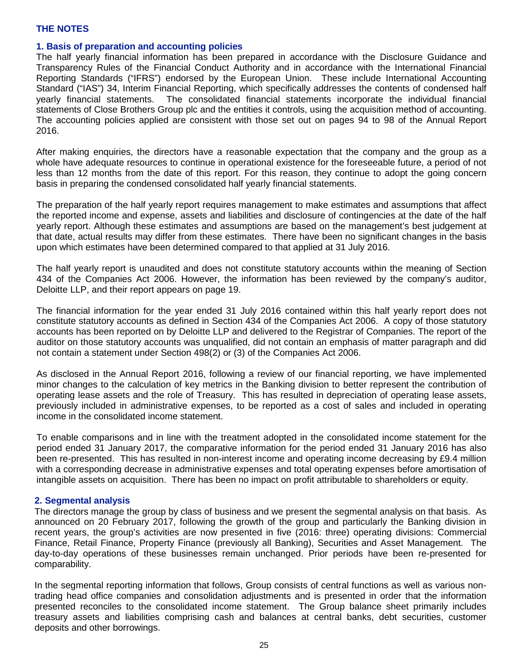#### **1. Basis of preparation and accounting policies**

The half yearly financial information has been prepared in accordance with the Disclosure Guidance and Transparency Rules of the Financial Conduct Authority and in accordance with the International Financial Reporting Standards ("IFRS") endorsed by the European Union. These include International Accounting Standard ("IAS") 34, Interim Financial Reporting, which specifically addresses the contents of condensed half yearly financial statements. The consolidated financial statements incorporate the individual financial statements of Close Brothers Group plc and the entities it controls, using the acquisition method of accounting. The accounting policies applied are consistent with those set out on pages 94 to 98 of the Annual Report 2016.

After making enquiries, the directors have a reasonable expectation that the company and the group as a whole have adequate resources to continue in operational existence for the foreseeable future, a period of not less than 12 months from the date of this report. For this reason, they continue to adopt the going concern basis in preparing the condensed consolidated half yearly financial statements.

The preparation of the half yearly report requires management to make estimates and assumptions that affect the reported income and expense, assets and liabilities and disclosure of contingencies at the date of the half yearly report. Although these estimates and assumptions are based on the management's best judgement at that date, actual results may differ from these estimates. There have been no significant changes in the basis upon which estimates have been determined compared to that applied at 31 July 2016.

The half yearly report is unaudited and does not constitute statutory accounts within the meaning of Section 434 of the Companies Act 2006. However, the information has been reviewed by the company's auditor, Deloitte LLP, and their report appears on page 19.

The financial information for the year ended 31 July 2016 contained within this half yearly report does not constitute statutory accounts as defined in Section 434 of the Companies Act 2006. A copy of those statutory accounts has been reported on by Deloitte LLP and delivered to the Registrar of Companies. The report of the auditor on those statutory accounts was unqualified, did not contain an emphasis of matter paragraph and did not contain a statement under Section 498(2) or (3) of the Companies Act 2006.

As disclosed in the Annual Report 2016, following a review of our financial reporting, we have implemented minor changes to the calculation of key metrics in the Banking division to better represent the contribution of operating lease assets and the role of Treasury. This has resulted in depreciation of operating lease assets, previously included in administrative expenses, to be reported as a cost of sales and included in operating income in the consolidated income statement.

To enable comparisons and in line with the treatment adopted in the consolidated income statement for the period ended 31 January 2017, the comparative information for the period ended 31 January 2016 has also been re-presented. This has resulted in non-interest income and operating income decreasing by £9.4 million with a corresponding decrease in administrative expenses and total operating expenses before amortisation of intangible assets on acquisition. There has been no impact on profit attributable to shareholders or equity.

#### **2. Segmental analysis**

The directors manage the group by class of business and we present the segmental analysis on that basis. As announced on 20 February 2017, following the growth of the group and particularly the Banking division in recent years, the group's activities are now presented in five (2016: three) operating divisions: Commercial Finance, Retail Finance, Property Finance (previously all Banking), Securities and Asset Management. The day-to-day operations of these businesses remain unchanged. Prior periods have been re-presented for comparability.

In the segmental reporting information that follows, Group consists of central functions as well as various nontrading head office companies and consolidation adjustments and is presented in order that the information presented reconciles to the consolidated income statement. The Group balance sheet primarily includes treasury assets and liabilities comprising cash and balances at central banks, debt securities, customer deposits and other borrowings.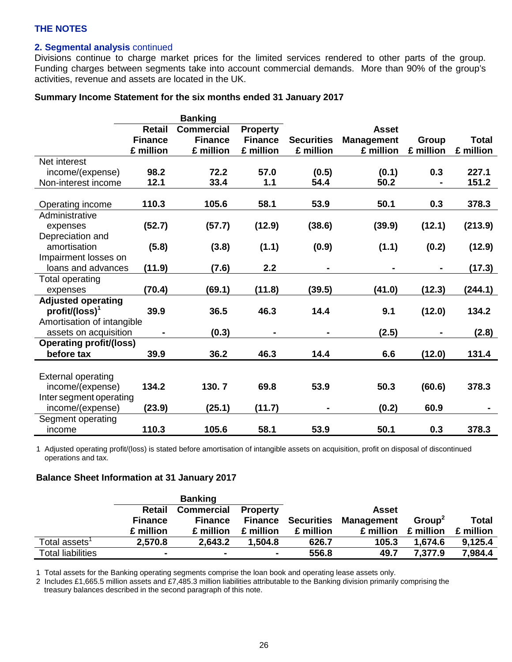#### **2. Segmental analysis** continued

Divisions continue to charge market prices for the limited services rendered to other parts of the group. Funding charges between segments take into account commercial demands. More than 90% of the group's activities, revenue and assets are located in the UK.

#### **Summary Income Statement for the six months ended 31 January 2017**

|                                |                | <b>Banking</b>    |                 |                   |                   |                |              |
|--------------------------------|----------------|-------------------|-----------------|-------------------|-------------------|----------------|--------------|
|                                | <b>Retail</b>  | <b>Commercial</b> | <b>Property</b> |                   | <b>Asset</b>      |                |              |
|                                | <b>Finance</b> | <b>Finance</b>    | <b>Finance</b>  | <b>Securities</b> | <b>Management</b> | Group          | <b>Total</b> |
|                                | £ million      | £ million         | £ million       | £ million         | £ million         | £ million      | £ million    |
| Net interest                   |                |                   |                 |                   |                   |                |              |
| income/(expense)               | 98.2           | 72.2              | 57.0            | (0.5)             | (0.1)             | 0.3            | 227.1        |
| Non-interest income            | 12.1           | 33.4              | 1.1             | 54.4              | 50.2              |                | 151.2        |
|                                |                |                   |                 |                   |                   |                |              |
| Operating income               | 110.3          | 105.6             | 58.1            | 53.9              | 50.1              | 0.3            | 378.3        |
| Administrative                 |                |                   |                 |                   |                   |                |              |
| expenses                       | (52.7)         | (57.7)            | (12.9)          | (38.6)            | (39.9)            | (12.1)         | (213.9)      |
| Depreciation and               |                |                   |                 |                   |                   |                |              |
| amortisation                   | (5.8)          | (3.8)             | (1.1)           | (0.9)             | (1.1)             | (0.2)          | (12.9)       |
| Impairment losses on           |                |                   |                 |                   |                   |                |              |
| loans and advances             | (11.9)         | (7.6)             | 2.2             |                   |                   | $\blacksquare$ | (17.3)       |
| Total operating                |                |                   |                 |                   |                   |                |              |
| expenses                       | (70.4)         | (69.1)            | (11.8)          | (39.5)            | (41.0)            | (12.3)         | (244.1)      |
| <b>Adjusted operating</b>      |                |                   |                 |                   |                   |                |              |
| $profit/(loss)^1$              | 39.9           | 36.5              | 46.3            | 14.4              | 9.1               | (12.0)         | 134.2        |
| Amortisation of intangible     |                |                   |                 |                   |                   |                |              |
| assets on acquisition          |                | (0.3)             |                 |                   | (2.5)             |                | (2.8)        |
| <b>Operating profit/(loss)</b> |                |                   |                 |                   |                   |                |              |
| before tax                     | 39.9           | 36.2              | 46.3            | 14.4              | 6.6               | (12.0)         | 131.4        |
|                                |                |                   |                 |                   |                   |                |              |
| <b>External operating</b>      |                |                   |                 |                   |                   |                |              |
| income/(expense)               | 134.2          | 130.7             | 69.8            | 53.9              | 50.3              | (60.6)         | 378.3        |
| Inter segment operating        |                |                   |                 |                   |                   |                |              |
| income/(expense)               | (23.9)         | (25.1)            | (11.7)          |                   | (0.2)             | 60.9           |              |
| Segment operating              |                |                   |                 |                   |                   |                |              |
| income                         | 110.3          | 105.6             | 58.1            | 53.9              | 50.1              | 0.3            | 378.3        |

1 Adjusted operating profit/(loss) is stated before amortisation of intangible assets on acquisition, profit on disposal of discontinued operations and tax.

#### **Balance Sheet Information at 31 January 2017**

|                           |                | <b>Banking</b>    |                 |                   |                   |                    |              |
|---------------------------|----------------|-------------------|-----------------|-------------------|-------------------|--------------------|--------------|
|                           | Retail         | <b>Commercial</b> | <b>Property</b> |                   | <b>Asset</b>      |                    |              |
|                           | <b>Finance</b> | <b>Finance</b>    | Finance         | <b>Securities</b> | <b>Management</b> | Group <sup>2</sup> | <b>Total</b> |
|                           | £ million      | £ million         | £ million       | £ million         | £ million         | £ million          | £ million    |
| Total assets <sup>1</sup> | 2,570.8        | 2.643.2           | 1.504.8         | 626.7             | 105.3             | 1.674.6            | 9,125.4      |
| <b>Total liabilities</b>  | $\blacksquare$ | $\blacksquare$    | $\blacksquare$  | 556.8             | 49.7              | 7,377.9            | 7,984.4      |

1 Total assets for the Banking operating segments comprise the loan book and operating lease assets only.

2 Includes £1,665.5 million assets and £7,485.3 million liabilities attributable to the Banking division primarily comprising the treasury balances described in the second paragraph of this note.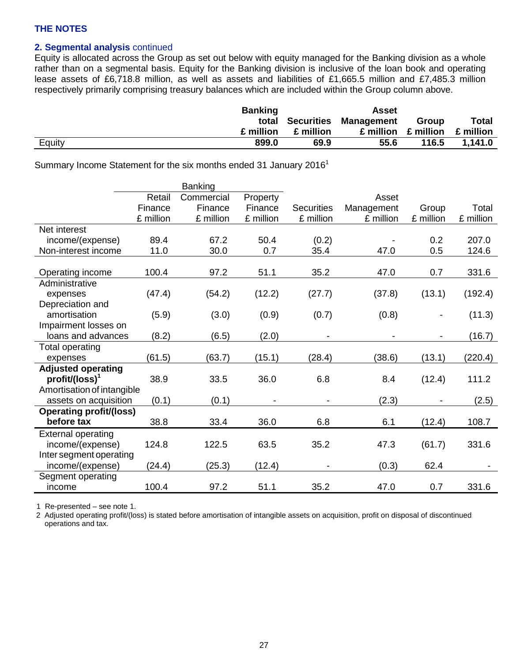### **2. Segmental analysis** continued

Equity is allocated across the Group as set out below with equity managed for the Banking division as a whole rather than on a segmental basis. Equity for the Banking division is inclusive of the loan book and operating lease assets of £6,718.8 million, as well as assets and liabilities of £1,665.5 million and £7,485.3 million respectively primarily comprising treasury balances which are included within the Group column above.

|        | <b>Banking</b> |           | Asset                       |                                     |              |
|--------|----------------|-----------|-----------------------------|-------------------------------------|--------------|
|        |                |           | total Securities Management | Group                               | <b>Total</b> |
|        | £ million      | £ million |                             | $£$ million $£$ million $£$ million |              |
| Equity | 899.0          | 69.9      | 55.6                        | 116.5                               | 1,141.0      |

Summary Income Statement for the six months ended 31 January 2016<sup>1</sup>

|                                |           | <b>Banking</b> |           |                   |            |           |           |
|--------------------------------|-----------|----------------|-----------|-------------------|------------|-----------|-----------|
|                                | Retail    | Commercial     | Property  |                   | Asset      |           |           |
|                                | Finance   | Finance        | Finance   | <b>Securities</b> | Management | Group     | Total     |
|                                | £ million | £ million      | £ million | £ million         | £ million  | £ million | £ million |
| Net interest                   |           |                |           |                   |            |           |           |
| income/(expense)               | 89.4      | 67.2           | 50.4      | (0.2)             |            | 0.2       | 207.0     |
| Non-interest income            | 11.0      | 30.0           | 0.7       | 35.4              | 47.0       | 0.5       | 124.6     |
|                                |           |                |           |                   |            |           |           |
| Operating income               | 100.4     | 97.2           | 51.1      | 35.2              | 47.0       | 0.7       | 331.6     |
| Administrative                 |           |                |           |                   |            |           |           |
| expenses                       | (47.4)    | (54.2)         | (12.2)    | (27.7)            | (37.8)     | (13.1)    | (192.4)   |
| Depreciation and               |           |                |           |                   |            |           |           |
| amortisation                   | (5.9)     | (3.0)          | (0.9)     | (0.7)             | (0.8)      |           | (11.3)    |
| Impairment losses on           |           |                |           |                   |            |           |           |
| loans and advances             | (8.2)     | (6.5)          | (2.0)     |                   |            |           | (16.7)    |
| Total operating                |           |                |           |                   |            |           |           |
| expenses                       | (61.5)    | (63.7)         | (15.1)    | (28.4)            | (38.6)     | (13.1)    | (220.4)   |
| <b>Adjusted operating</b>      |           |                |           |                   |            |           |           |
| $profit/(loss)^1$              | 38.9      | 33.5           | 36.0      | 6.8               | 8.4        | (12.4)    | 111.2     |
| Amortisation of intangible     |           |                |           |                   |            |           |           |
| assets on acquisition          | (0.1)     | (0.1)          |           |                   | (2.3)      |           | (2.5)     |
| <b>Operating profit/(loss)</b> |           |                |           |                   |            |           |           |
| before tax                     | 38.8      | 33.4           | 36.0      | 6.8               | 6.1        | (12.4)    | 108.7     |
| <b>External operating</b>      |           |                |           |                   |            |           |           |
| income/(expense)               | 124.8     | 122.5          | 63.5      | 35.2              | 47.3       | (61.7)    | 331.6     |
| Inter segment operating        |           |                |           |                   |            |           |           |
| income/(expense)               | (24.4)    | (25.3)         | (12.4)    |                   | (0.3)      | 62.4      |           |
| Segment operating              |           |                |           |                   |            |           |           |
| income                         | 100.4     | 97.2           | 51.1      | 35.2              | 47.0       | 0.7       | 331.6     |

1 Re-presented – see note 1.

2 Adjusted operating profit/(loss) is stated before amortisation of intangible assets on acquisition, profit on disposal of discontinued operations and tax.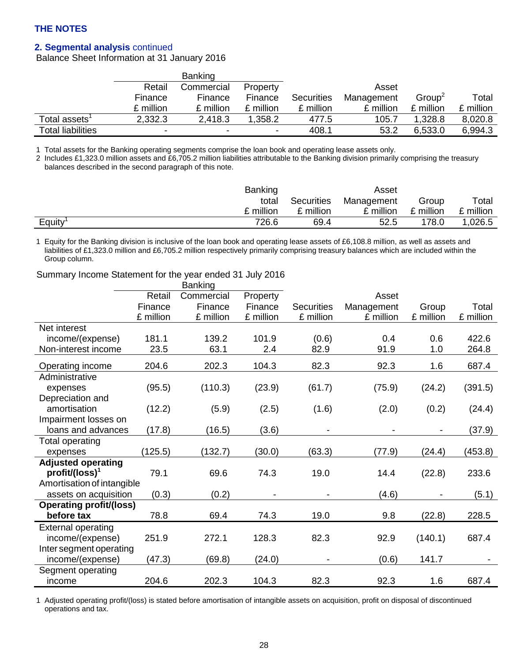## **2. Segmental analysis** continued

Balance Sheet Information at 31 January 2016

|                           |           | <b>Banking</b> |           |                   |            |                    |           |
|---------------------------|-----------|----------------|-----------|-------------------|------------|--------------------|-----------|
|                           | Retail    | Commercial     | Property  |                   | Asset      |                    |           |
|                           | Finance   | Finance        | Finance   | <b>Securities</b> | Management | Group <sup>2</sup> | Total     |
|                           | £ million | £ million      | £ million | £ million         | £ million  | £ million          | £ million |
| Total assets <sup>1</sup> | 2,332.3   | 2,418.3        | 1,358.2   | 477.5             | 105.7      | 1,328.8            | 8,020.8   |
| <b>Total liabilities</b>  | -         | -              | -         | 408.1             | 53.2       | 6,533.0            | 6,994.3   |

1 Total assets for the Banking operating segments comprise the loan book and operating lease assets only.

2 Includes £1,323.0 million assets and £6,705.2 million liabilities attributable to the Banking division primarily comprising the treasury balances described in the second paragraph of this note.

|                        | <b>Banking</b> |                   | Asset      |           |           |
|------------------------|----------------|-------------------|------------|-----------|-----------|
|                        | total          | <b>Securities</b> | Management | Group     | Total     |
|                        | £ million      | £ million         | £ million  | £ million | £ million |
| $E$ quity <sup>1</sup> | 726.6          | 69.4              | 52.5       | 178.0     | 1,026.5   |

1 Equity for the Banking division is inclusive of the loan book and operating lease assets of £6,108.8 million, as well as assets and liabilities of £1,323.0 million and £6,705.2 million respectively primarily comprising treasury balances which are included within the Group column.

### Summary Income Statement for the year ended 31 July 2016

|                                |           | <b>Banking</b> |           |                   |            |                          |           |
|--------------------------------|-----------|----------------|-----------|-------------------|------------|--------------------------|-----------|
|                                | Retail    | Commercial     | Property  |                   | Asset      |                          |           |
|                                | Finance   | Finance        | Finance   | <b>Securities</b> | Management | Group                    | Total     |
|                                | £ million | £ million      | £ million | £ million         | £ million  | £ million                | £ million |
| Net interest                   |           |                |           |                   |            |                          |           |
| income/(expense)               | 181.1     | 139.2          | 101.9     | (0.6)             | 0.4        | 0.6                      | 422.6     |
| Non-interest income            | 23.5      | 63.1           | 2.4       | 82.9              | 91.9       | 1.0                      | 264.8     |
| Operating income               | 204.6     | 202.3          | 104.3     | 82.3              | 92.3       | 1.6                      | 687.4     |
| Administrative                 |           |                |           |                   |            |                          |           |
| expenses                       | (95.5)    | (110.3)        | (23.9)    | (61.7)            | (75.9)     | (24.2)                   | (391.5)   |
| Depreciation and               |           |                |           |                   |            |                          |           |
| amortisation                   | (12.2)    | (5.9)          | (2.5)     | (1.6)             | (2.0)      | (0.2)                    | (24.4)    |
| Impairment losses on           |           |                |           |                   |            |                          |           |
| loans and advances             | (17.8)    | (16.5)         | (3.6)     |                   |            | $\overline{\phantom{a}}$ | (37.9)    |
| <b>Total operating</b>         |           |                |           |                   |            |                          |           |
| expenses                       | (125.5)   | (132.7)        | (30.0)    | (63.3)            | (77.9)     | (24.4)                   | (453.8)   |
| <b>Adjusted operating</b>      |           |                |           |                   |            |                          |           |
| $profit/(loss)^1$              | 79.1      | 69.6           | 74.3      | 19.0              | 14.4       | (22.8)                   | 233.6     |
| Amortisation of intangible     |           |                |           |                   |            |                          |           |
| assets on acquisition          | (0.3)     | (0.2)          |           |                   | (4.6)      |                          | (5.1)     |
| <b>Operating profit/(loss)</b> |           |                |           |                   |            |                          |           |
| before tax                     | 78.8      | 69.4           | 74.3      | 19.0              | 9.8        | (22.8)                   | 228.5     |
| <b>External operating</b>      |           |                |           |                   |            |                          |           |
| income/(expense)               | 251.9     | 272.1          | 128.3     | 82.3              | 92.9       | (140.1)                  | 687.4     |
| Inter segment operating        |           |                |           |                   |            |                          |           |
| income/(expense)               | (47.3)    | (69.8)         | (24.0)    |                   | (0.6)      | 141.7                    |           |
| Segment operating              |           |                |           |                   |            |                          |           |
| income                         | 204.6     | 202.3          | 104.3     | 82.3              | 92.3       | 1.6                      | 687.4     |

1 Adjusted operating profit/(loss) is stated before amortisation of intangible assets on acquisition, profit on disposal of discontinued operations and tax.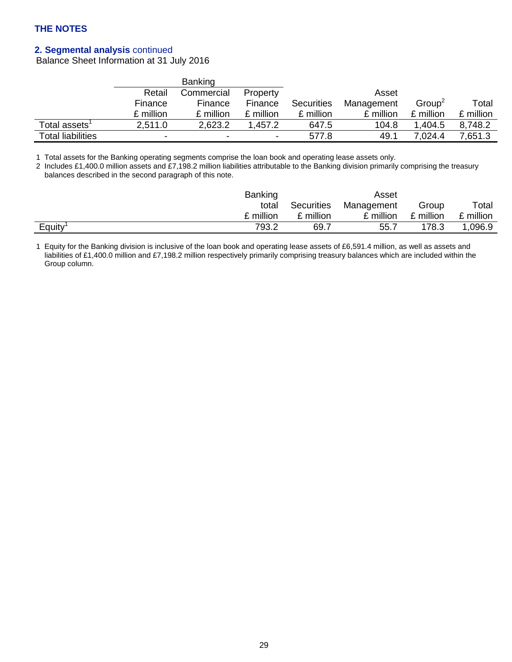## **2. Segmental analysis** continued

Balance Sheet Information at 31 July 2016

|                           |                          | <b>Banking</b> |                          |                   |            |                    |           |
|---------------------------|--------------------------|----------------|--------------------------|-------------------|------------|--------------------|-----------|
|                           | Retail                   | Commercial     | Property                 |                   | Asset      |                    |           |
|                           | Finance                  | Finance        | Finance                  | <b>Securities</b> | Management | Group <sup>2</sup> | Total     |
|                           | £ million                | £ million      | £ million                | £ million         | £ million  | £ million          | £ million |
| Total assets <sup>1</sup> | 2,511.0                  | 2,623.2        | 1.457.2                  | 647.5             | 104.8      | .404.5             | 8,748.2   |
| <b>Total liabilities</b>  | $\overline{\phantom{0}}$ | -              | $\overline{\phantom{a}}$ | 577.8             | 49.1       | 7.024.4            | 7,651.3   |

1 Total assets for the Banking operating segments comprise the loan book and operating lease assets only.

2 Includes £1,400.0 million assets and £7,198.2 million liabilities attributable to the Banking division primarily comprising the treasury balances described in the second paragraph of this note.

|        | <b>Banking</b> |                   | Asset      |           |           |
|--------|----------------|-------------------|------------|-----------|-----------|
|        | total          | <b>Securities</b> | Management | Group     | Total     |
|        | £ million      | £ million         | £ million  | £ million | £ million |
| Equity | 793.2          | 69.7              | 55.7       | 178.3     | .096.9    |

1 Equity for the Banking division is inclusive of the loan book and operating lease assets of £6,591.4 million, as well as assets and liabilities of £1,400.0 million and £7,198.2 million respectively primarily comprising treasury balances which are included within the Group column.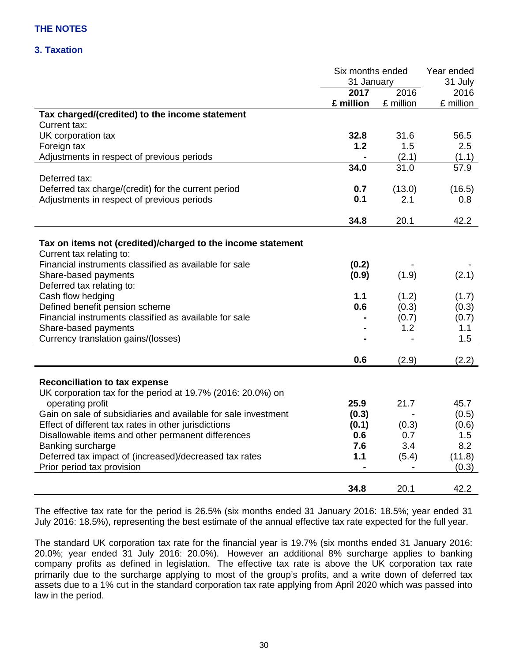## **3. Taxation**

|                                                                | Six months ended |           | Year ended |
|----------------------------------------------------------------|------------------|-----------|------------|
|                                                                | 31 January       |           | 31 July    |
|                                                                | $\frac{1}{2017}$ | 2016      | 2016       |
|                                                                | £ million        | £ million | £ million  |
| Tax charged/(credited) to the income statement                 |                  |           |            |
| Current tax:                                                   |                  |           |            |
| UK corporation tax                                             | 32.8             | 31.6      | 56.5       |
| Foreign tax                                                    | 1.2              | 1.5       | 2.5        |
| Adjustments in respect of previous periods                     |                  | (2.1)     | (1.1)      |
|                                                                | 34.0             | 31.0      | 57.9       |
| Deferred tax:                                                  |                  |           |            |
| Deferred tax charge/(credit) for the current period            | 0.7              | (13.0)    | (16.5)     |
| Adjustments in respect of previous periods                     | 0.1              | 2.1       | 0.8        |
|                                                                |                  |           |            |
|                                                                | 34.8             | 20.1      | 42.2       |
|                                                                |                  |           |            |
| Tax on items not (credited)/charged to the income statement    |                  |           |            |
| Current tax relating to:                                       |                  |           |            |
| Financial instruments classified as available for sale         | (0.2)            |           |            |
| Share-based payments                                           | (0.9)            | (1.9)     | (2.1)      |
| Deferred tax relating to:                                      |                  |           |            |
| Cash flow hedging                                              | 1.1              | (1.2)     | (1.7)      |
| Defined benefit pension scheme                                 | 0.6              | (0.3)     | (0.3)      |
| Financial instruments classified as available for sale         |                  | (0.7)     | (0.7)      |
| Share-based payments                                           |                  | 1.2       | 1.1        |
| Currency translation gains/(losses)                            |                  |           | 1.5        |
|                                                                |                  |           |            |
|                                                                | 0.6              | (2.9)     | (2.2)      |
|                                                                |                  |           |            |
| <b>Reconciliation to tax expense</b>                           |                  |           |            |
| UK corporation tax for the period at 19.7% (2016: 20.0%) on    |                  |           |            |
| operating profit                                               | 25.9             | 21.7      | 45.7       |
| Gain on sale of subsidiaries and available for sale investment | (0.3)            |           | (0.5)      |
| Effect of different tax rates in other jurisdictions           | (0.1)            | (0.3)     | (0.6)      |
| Disallowable items and other permanent differences             | 0.6              | 0.7       | 1.5        |
| Banking surcharge                                              | 7.6              | 3.4       | 8.2        |
| Deferred tax impact of (increased)/decreased tax rates         | 1.1              | (5.4)     | (11.8)     |
| Prior period tax provision                                     |                  |           | (0.3)      |
|                                                                |                  |           |            |
|                                                                | 34.8             | 20.1      | 42.2       |

The effective tax rate for the period is 26.5% (six months ended 31 January 2016: 18.5%; year ended 31 July 2016: 18.5%), representing the best estimate of the annual effective tax rate expected for the full year.

The standard UK corporation tax rate for the financial year is 19.7% (six months ended 31 January 2016: 20.0%; year ended 31 July 2016: 20.0%). However an additional 8% surcharge applies to banking company profits as defined in legislation. The effective tax rate is above the UK corporation tax rate primarily due to the surcharge applying to most of the group's profits, and a write down of deferred tax assets due to a 1% cut in the standard corporation tax rate applying from April 2020 which was passed into law in the period.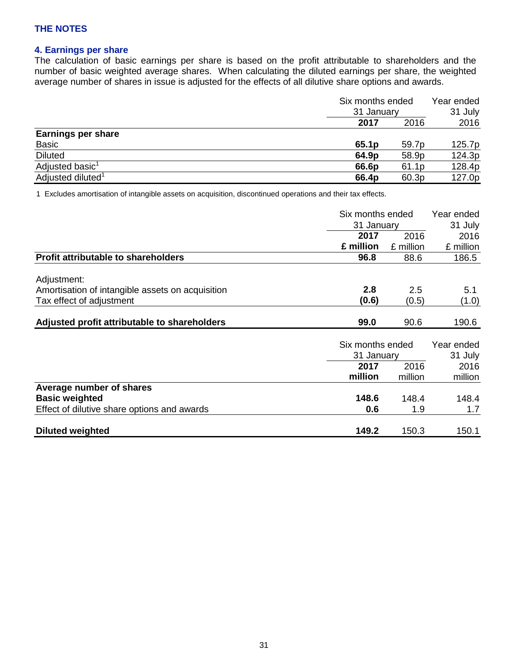## **4. Earnings per share**

The calculation of basic earnings per share is based on the profit attributable to shareholders and the number of basic weighted average shares. When calculating the diluted earnings per share, the weighted average number of shares in issue is adjusted for the effects of all dilutive share options and awards.

|                               | Six months ended |                   |         |
|-------------------------------|------------------|-------------------|---------|
|                               | 31 January       |                   | 31 July |
|                               | 2017             | 2016              | 2016    |
| <b>Earnings per share</b>     |                  |                   |         |
| <b>Basic</b>                  | 65.1p            | 59.7p             | 125.7p  |
| <b>Diluted</b>                | 64.9p            | 58.9p             | 124.3p  |
| Adjusted basic <sup>1</sup>   | 66.6p            | 61.1 <sub>p</sub> | 128.4p  |
| Adjusted diluted <sup>1</sup> | 66.4p            | 60.3p             | 127.0p  |

1 Excludes amortisation of intangible assets on acquisition, discontinued operations and their tax effects.

|                                                  | Six months ended |           | Year ended |  |
|--------------------------------------------------|------------------|-----------|------------|--|
|                                                  | 31 January       |           | 31 July    |  |
|                                                  | 2017             | 2016      | 2016       |  |
|                                                  | £ million        | £ million | £ million  |  |
| <b>Profit attributable to shareholders</b>       | 96.8             | 88.6      | 186.5      |  |
| Adjustment:                                      |                  |           |            |  |
| Amortisation of intangible assets on acquisition | 2.8              | 2.5       | 5.1        |  |
| Tax effect of adjustment                         | (0.6)            | (0.5)     | (1.0)      |  |
| Adjusted profit attributable to shareholders     | 99.0             | 90.6      | 190.6      |  |
|                                                  | Six months ended |           | Year ended |  |
|                                                  | 31 January       |           | 31 July    |  |
|                                                  | 2017             | 2016      | 2016       |  |
|                                                  | million          | million   | million    |  |
| Average number of shares                         |                  |           |            |  |
| <b>Basic weighted</b>                            | 148.6            | 148.4     | 148.4      |  |
| Effect of dilutive share options and awards      | 0.6              | 1.9       | 1.7        |  |
| <b>Diluted weighted</b>                          | 149.2            | 150.3     | 150.1      |  |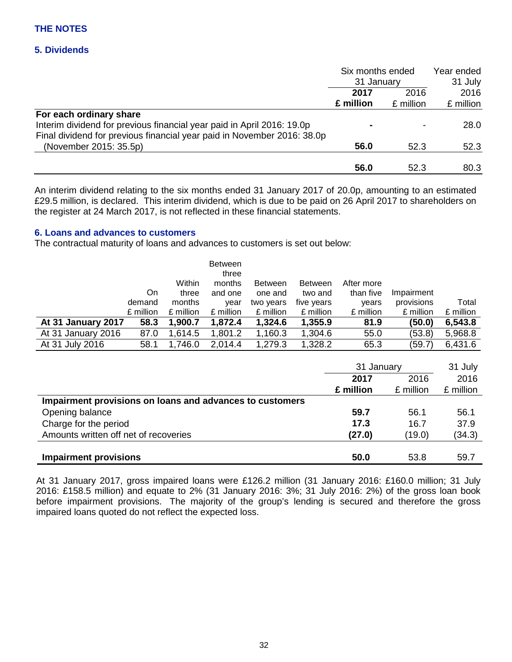### **5. Dividends**

|                                                                         | Six months ended<br>31 January |           | Year ended<br>31 July |  |
|-------------------------------------------------------------------------|--------------------------------|-----------|-----------------------|--|
|                                                                         |                                |           |                       |  |
|                                                                         | 2017                           | 2016      | 2016                  |  |
|                                                                         | £ million                      | £ million | £ million             |  |
| For each ordinary share                                                 |                                |           |                       |  |
| Interim dividend for previous financial year paid in April 2016: 19.0p  |                                |           | 28.0                  |  |
| Final dividend for previous financial year paid in November 2016: 38.0p |                                |           |                       |  |
| (November 2015: 35.5p)                                                  | 56.0                           | 52.3      | 52.3                  |  |
|                                                                         |                                |           |                       |  |
|                                                                         | 56.0                           | 52.3      | 80.3                  |  |

An interim dividend relating to the six months ended 31 January 2017 of 20.0p, amounting to an estimated £29.5 million, is declared. This interim dividend, which is due to be paid on 26 April 2017 to shareholders on the register at 24 March 2017, is not reflected in these financial statements.

### **6. Loans and advances to customers**

The contractual maturity of loans and advances to customers is set out below:

|                    |           | Within    | <b>Between</b><br>three<br>months | <b>Between</b> | <b>Between</b> | After more |            |           |
|--------------------|-----------|-----------|-----------------------------------|----------------|----------------|------------|------------|-----------|
|                    | On.       | three     | and one                           | one and        | two and        | than five  | Impairment |           |
|                    |           |           |                                   |                |                |            |            |           |
|                    | demand    | months    | year                              | two years      | five years     | vears      | provisions | Total     |
|                    | £ million | £ million | £ million                         | £ million      | £ million      | £ million  | £ million  | £ million |
| At 31 January 2017 | 58.3      | 1,900.7   | 1,872.4                           | 1,324.6        | 1,355.9        | 81.9       | (50.0)     | 6,543.8   |
| At 31 January 2016 | 87.0      | 1,614.5   | ,801.2                            | 1,160.3        | 1,304.6        | 55.0       | (53.8)     | 5,968.8   |
| At 31 July 2016    | 58.1      | 1,746.0   | 2,014.4                           | 1,279.3        | 1,328.2        | 65.3       | (59.7)     | 6,431.6   |

|                                                          | 31 January |           | 31 July   |
|----------------------------------------------------------|------------|-----------|-----------|
|                                                          | 2017       | 2016      | 2016      |
|                                                          | £ million  | £ million | £ million |
| Impairment provisions on loans and advances to customers |            |           |           |
| Opening balance                                          | 59.7       | 56.1      | 56.1      |
| Charge for the period                                    | 17.3       | 16.7      | 37.9      |
| Amounts written off net of recoveries                    | (27.0)     | (19.0)    | (34.3)    |
|                                                          |            |           |           |
| <b>Impairment provisions</b>                             | 50.0       | 53.8      | 59.7      |

At 31 January 2017, gross impaired loans were £126.2 million (31 January 2016: £160.0 million; 31 July 2016: £158.5 million) and equate to 2% (31 January 2016: 3%; 31 July 2016: 2%) of the gross loan book before impairment provisions. The majority of the group's lending is secured and therefore the gross impaired loans quoted do not reflect the expected loss.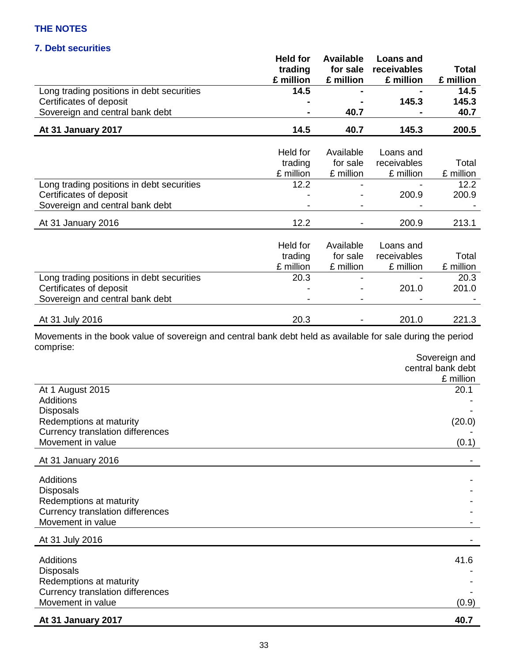## **7. Debt securities**

|                                           | <b>Held for</b><br>trading<br>£ million | <b>Available</b><br>for sale<br>£ million | <b>Loans and</b><br>receivables<br>£ million | Total<br>£ million |
|-------------------------------------------|-----------------------------------------|-------------------------------------------|----------------------------------------------|--------------------|
| Long trading positions in debt securities | 14.5                                    | $\blacksquare$                            | $\blacksquare$                               | 14.5               |
| Certificates of deposit                   | $\blacksquare$                          | $\blacksquare$                            | 145.3                                        | 145.3              |
| Sovereign and central bank debt           |                                         | 40.7                                      | $\blacksquare$                               | 40.7               |
| At 31 January 2017                        | 14.5                                    | 40.7                                      | 145.3                                        | 200.5              |

|                                                                      | Held for<br>trading<br>£ million | Available<br>for sale<br>£ million | Loans and<br>receivables<br>£ million | Total<br>£ million |
|----------------------------------------------------------------------|----------------------------------|------------------------------------|---------------------------------------|--------------------|
| Long trading positions in debt securities                            | 12.2                             | -                                  |                                       | 12.2               |
| Certificates of deposit                                              |                                  |                                    | 200.9                                 | 200.9              |
| Sovereign and central bank debt                                      |                                  |                                    |                                       |                    |
| At 31 January 2016                                                   | 12.2                             |                                    | 200.9                                 | 213.1              |
|                                                                      | Held for<br>trading<br>£ million | Available<br>for sale<br>£ million | Loans and<br>receivables<br>£ million | Total              |
|                                                                      |                                  |                                    |                                       | £ million          |
| Long trading positions in debt securities<br>Certificates of deposit | 20.3                             |                                    | 201.0                                 | 20.3<br>201.0      |
| Sovereign and central bank debt                                      |                                  |                                    |                                       |                    |
| At 31 July 2016                                                      | 20.3                             |                                    | 201.0                                 | 221.3              |

Movements in the book value of sovereign and central bank debt held as available for sale during the period comprise: Sovereign and

|                                         | Sovereign and     |
|-----------------------------------------|-------------------|
|                                         | central bank debt |
|                                         | £ million         |
| At 1 August 2015<br><b>Additions</b>    | 20.1              |
| <b>Disposals</b>                        |                   |
| Redemptions at maturity                 | (20.0)            |
| <b>Currency translation differences</b> |                   |
| Movement in value                       | (0.1)             |
|                                         |                   |
| At 31 January 2016                      |                   |
| <b>Additions</b>                        |                   |
| <b>Disposals</b>                        |                   |
| Redemptions at maturity                 |                   |
| Currency translation differences        |                   |
| Movement in value                       |                   |
| At 31 July 2016                         |                   |
|                                         |                   |
| <b>Additions</b>                        | 41.6              |
| <b>Disposals</b>                        |                   |
| Redemptions at maturity                 |                   |
| <b>Currency translation differences</b> |                   |
| Movement in value                       | (0.9)             |
| At 31 January 2017                      | 40.7              |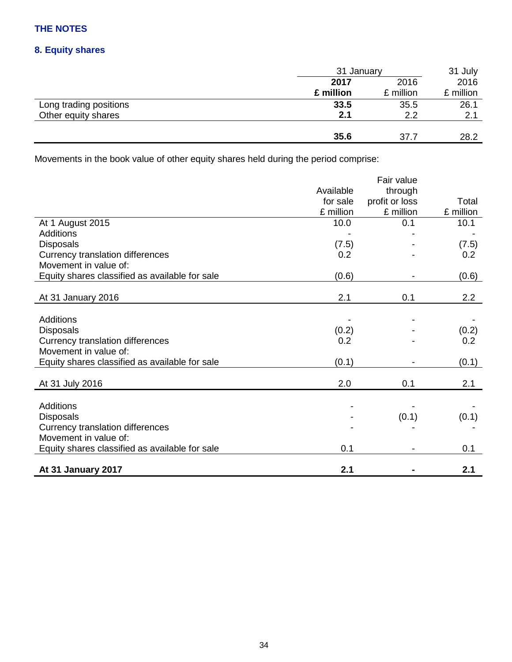## **8. Equity shares**

|                        | 31 January   |           | 31 July   |
|------------------------|--------------|-----------|-----------|
|                        | 2016<br>2017 |           | 2016      |
|                        | £ million    | £ million | £ million |
| Long trading positions | 33.5         | 35.5      | 26.1      |
| Other equity shares    | 2.1          | 2.2       | 2.1       |
|                        |              |           |           |
|                        | 35.6         | 37.7      | 28.2      |

Movements in the book value of other equity shares held during the period comprise:

|                                                                  |           | Fair value     |           |
|------------------------------------------------------------------|-----------|----------------|-----------|
|                                                                  | Available | through        |           |
|                                                                  | for sale  | profit or loss | Total     |
|                                                                  | £ million | £ million      | £ million |
| At 1 August 2015                                                 | 10.0      | 0.1            | 10.1      |
| Additions                                                        |           |                |           |
| <b>Disposals</b>                                                 | (7.5)     |                | (7.5)     |
| <b>Currency translation differences</b>                          | 0.2       |                | 0.2       |
| Movement in value of:                                            |           |                |           |
| Equity shares classified as available for sale                   | (0.6)     |                | (0.6)     |
|                                                                  |           |                |           |
| At 31 January 2016                                               | 2.1       | 0.1            | 2.2       |
|                                                                  |           |                |           |
| <b>Additions</b>                                                 |           |                |           |
| <b>Disposals</b>                                                 | (0.2)     |                | (0.2)     |
| <b>Currency translation differences</b>                          | 0.2       |                | 0.2       |
| Movement in value of:                                            |           |                |           |
| Equity shares classified as available for sale                   | (0.1)     |                | (0.1)     |
|                                                                  |           |                |           |
| At 31 July 2016                                                  | 2.0       | 0.1            | 2.1       |
| <b>Additions</b>                                                 |           |                |           |
|                                                                  |           |                |           |
| <b>Disposals</b>                                                 |           | (0.1)          | (0.1)     |
| <b>Currency translation differences</b><br>Movement in value of: |           |                |           |
|                                                                  |           |                |           |
| Equity shares classified as available for sale                   | 0.1       |                | 0.1       |
| At 31 January 2017                                               | 2.1       |                | 2.1       |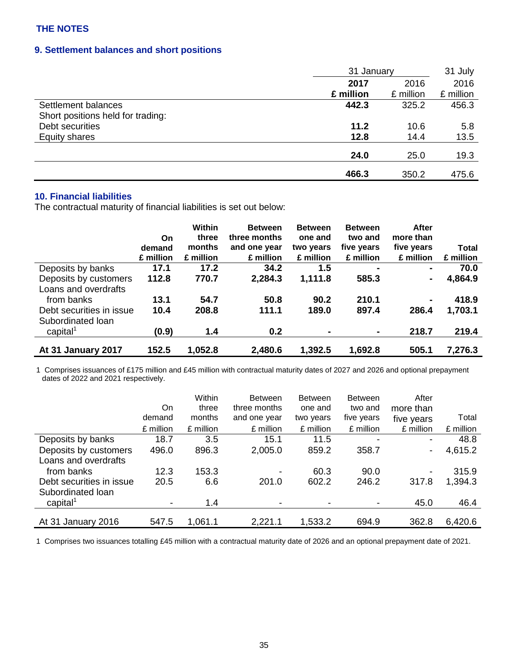## **9. Settlement balances and short positions**

|                                   | 31 January |           | 31 July   |
|-----------------------------------|------------|-----------|-----------|
|                                   | 2017       | 2016      | 2016      |
|                                   | £ million  | £ million | £ million |
| Settlement balances               | 442.3      | 325.2     | 456.3     |
| Short positions held for trading: |            |           |           |
| Debt securities                   | 11.2       | 10.6      | 5.8       |
| Equity shares                     | 12.8       | 14.4      | 13.5      |
|                                   |            |           |           |
|                                   | 24.0       | 25.0      | 19.3      |
|                                   | 466.3      | 350.2     | 475.6     |

#### **10. Financial liabilities**

The contractual maturity of financial liabilities is set out below:

|                           | <b>On</b> | Within<br>three | <b>Between</b><br>three months | <b>Between</b><br>one and | <b>Between</b><br>two and | After<br>more than |              |
|---------------------------|-----------|-----------------|--------------------------------|---------------------------|---------------------------|--------------------|--------------|
|                           | demand    | months          | and one year                   | two years                 | five years                | five years         | <b>Total</b> |
|                           | £ million | £ million       | £ million                      | £ million                 | £ million                 | £ million          | £ million    |
| Deposits by banks         | 17.1      | 17.2            | 34.2                           | 1.5                       | $\blacksquare$            | $\blacksquare$     | 70.0         |
| Deposits by customers     | 112.8     | 770.7           | 2,284.3                        | 1,111.8                   | 585.3                     | ۰.                 | 4,864.9      |
| Loans and overdrafts      |           |                 |                                |                           |                           |                    |              |
| from banks                | 13.1      | 54.7            | 50.8                           | 90.2                      | 210.1                     |                    | 418.9        |
| Debt securities in issue  | 10.4      | 208.8           | 111.1                          | 189.0                     | 897.4                     | 286.4              | 1,703.1      |
| Subordinated loan         |           |                 |                                |                           |                           |                    |              |
| capital <sup>1</sup>      | (0.9)     | 1.4             | 0.2                            | $\blacksquare$            | $\blacksquare$            | 218.7              | 219.4        |
| <b>At 31 January 2017</b> | 152.5     | 1,052.8         | 2,480.6                        | 1,392.5                   | 1,692.8                   | 505.1              | 7,276.3      |

1 Comprises issuances of £175 million and £45 million with contractual maturity dates of 2027 and 2026 and optional prepayment dates of 2022 and 2021 respectively.

|                          |           | Within    | <b>Between</b> | <b>Between</b> | <b>Between</b> | After                    |           |
|--------------------------|-----------|-----------|----------------|----------------|----------------|--------------------------|-----------|
|                          | On.       | three     | three months   | one and        | two and        | more than                |           |
|                          | demand    | months    | and one year   | two years      | five years     | five years               | Total     |
|                          | £ million | £ million | £ million      | £ million      | £ million      | £ million                | £ million |
| Deposits by banks        | 18.7      | 3.5       | 15.1           | 11.5           | ٠              | $\overline{\phantom{a}}$ | 48.8      |
| Deposits by customers    | 496.0     | 896.3     | 2,005.0        | 859.2          | 358.7          | ۰.                       | 4,615.2   |
| Loans and overdrafts     |           |           |                |                |                |                          |           |
| from banks               | 12.3      | 153.3     |                | 60.3           | 90.0           | $\overline{\phantom{a}}$ | 315.9     |
| Debt securities in issue | 20.5      | 6.6       | 201.0          | 602.2          | 246.2          | 317.8                    | 1,394.3   |
| Subordinated Ioan        |           |           |                |                |                |                          |           |
| capital <sup>1</sup>     |           | 1.4       |                |                |                | 45.0                     | 46.4      |
|                          |           |           |                |                |                |                          |           |
| At 31 January 2016       | 547.5     | 1,061.1   | 2,221.1        | 1,533.2        | 694.9          | 362.8                    | 6,420.6   |

1 Comprises two issuances totalling £45 million with a contractual maturity date of 2026 and an optional prepayment date of 2021.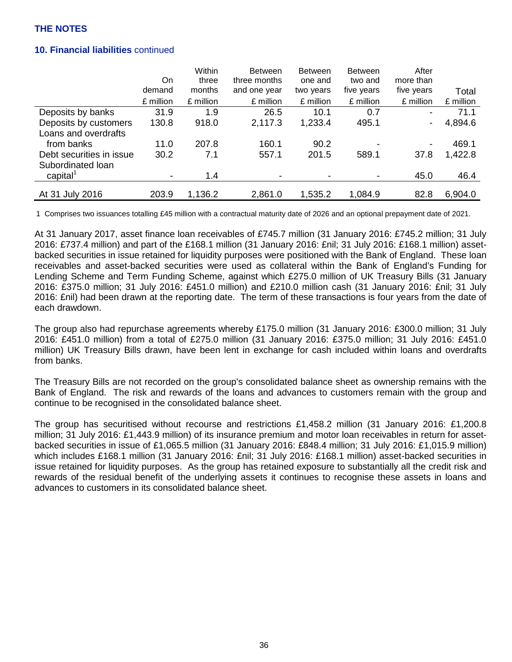## **10. Financial liabilities** continued

|                          |           | Within    | <b>Between</b> | <b>Between</b> | <b>Between</b> | After          |           |
|--------------------------|-----------|-----------|----------------|----------------|----------------|----------------|-----------|
|                          | On        | three     | three months   | one and        | two and        | more than      |           |
|                          | demand    | months    | and one year   | two years      | five years     | five years     | Total     |
|                          | £ million | £ million | £ million      | £ million      | £ million      | £ million      | £ million |
| Deposits by banks        | 31.9      | 1.9       | 26.5           | 10.1           | 0.7            | $\blacksquare$ | 71.1      |
| Deposits by customers    | 130.8     | 918.0     | 2,117.3        | 1,233.4        | 495.1          |                | 4,894.6   |
| Loans and overdrafts     |           |           |                |                |                |                |           |
| from banks               | 11.0      | 207.8     | 160.1          | 90.2           | -              | ٠              | 469.1     |
| Debt securities in issue | 30.2      | 7.1       | 557.1          | 201.5          | 589.1          | 37.8           | 1,422.8   |
| Subordinated Ioan        |           |           |                |                |                |                |           |
| $capital^1$              |           | 1.4       |                |                |                | 45.0           | 46.4      |
|                          |           |           |                |                |                |                |           |
| At 31 July 2016          | 203.9     | 1,136.2   | 2,861.0        | 1,535.2        | 1,084.9        | 82.8           | 6,904.0   |

1 Comprises two issuances totalling £45 million with a contractual maturity date of 2026 and an optional prepayment date of 2021.

At 31 January 2017, asset finance loan receivables of £745.7 million (31 January 2016: £745.2 million; 31 July 2016: £737.4 million) and part of the £168.1 million (31 January 2016: £nil; 31 July 2016: £168.1 million) assetbacked securities in issue retained for liquidity purposes were positioned with the Bank of England. These loan receivables and asset-backed securities were used as collateral within the Bank of England's Funding for Lending Scheme and Term Funding Scheme, against which £275.0 million of UK Treasury Bills (31 January 2016: £375.0 million; 31 July 2016: £451.0 million) and £210.0 million cash (31 January 2016: £nil; 31 July 2016: £nil) had been drawn at the reporting date. The term of these transactions is four years from the date of each drawdown.

The group also had repurchase agreements whereby £175.0 million (31 January 2016: £300.0 million; 31 July 2016: £451.0 million) from a total of £275.0 million (31 January 2016: £375.0 million; 31 July 2016: £451.0 million) UK Treasury Bills drawn, have been lent in exchange for cash included within loans and overdrafts from banks.

The Treasury Bills are not recorded on the group's consolidated balance sheet as ownership remains with the Bank of England. The risk and rewards of the loans and advances to customers remain with the group and continue to be recognised in the consolidated balance sheet.

The group has securitised without recourse and restrictions £1,458.2 million (31 January 2016: £1,200.8 million; 31 July 2016: £1,443.9 million) of its insurance premium and motor loan receivables in return for assetbacked securities in issue of £1,065.5 million (31 January 2016: £848.4 million; 31 July 2016: £1,015.9 million) which includes £168.1 million (31 January 2016: £nil; 31 July 2016: £168.1 million) asset-backed securities in issue retained for liquidity purposes. As the group has retained exposure to substantially all the credit risk and rewards of the residual benefit of the underlying assets it continues to recognise these assets in loans and advances to customers in its consolidated balance sheet.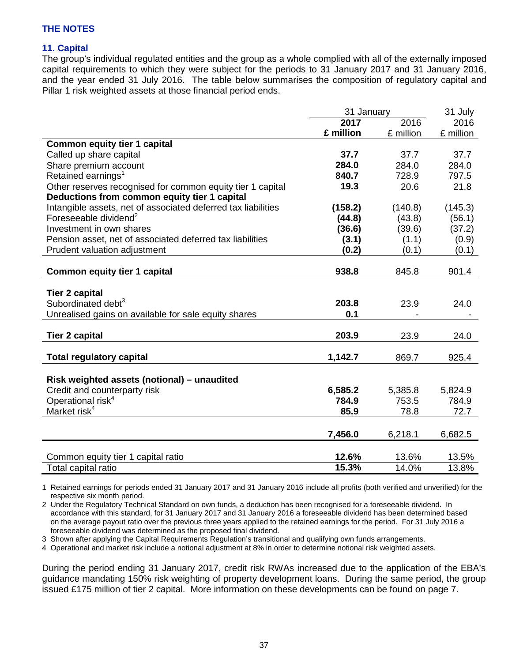### **11. Capital**

The group's individual regulated entities and the group as a whole complied with all of the externally imposed capital requirements to which they were subject for the periods to 31 January 2017 and 31 January 2016, and the year ended 31 July 2016. The table below summarises the composition of regulatory capital and Pillar 1 risk weighted assets at those financial period ends.

|                                                               | 31 January |           | 31 July   |
|---------------------------------------------------------------|------------|-----------|-----------|
|                                                               | 2017       | 2016      | 2016      |
|                                                               | £ million  | £ million | £ million |
| <b>Common equity tier 1 capital</b>                           |            |           |           |
| Called up share capital                                       | 37.7       | 37.7      | 37.7      |
| Share premium account                                         | 284.0      | 284.0     | 284.0     |
| Retained earnings <sup>1</sup>                                | 840.7      | 728.9     | 797.5     |
| Other reserves recognised for common equity tier 1 capital    | 19.3       | 20.6      | 21.8      |
| Deductions from common equity tier 1 capital                  |            |           |           |
| Intangible assets, net of associated deferred tax liabilities | (158.2)    | (140.8)   | (145.3)   |
| Foreseeable dividend <sup>2</sup>                             | (44.8)     | (43.8)    | (56.1)    |
| Investment in own shares                                      | (36.6)     | (39.6)    | (37.2)    |
| Pension asset, net of associated deferred tax liabilities     | (3.1)      | (1.1)     | (0.9)     |
| Prudent valuation adjustment                                  | (0.2)      | (0.1)     | (0.1)     |
|                                                               |            |           |           |
| <b>Common equity tier 1 capital</b>                           | 938.8      | 845.8     | 901.4     |
|                                                               |            |           |           |
| <b>Tier 2 capital</b>                                         |            |           |           |
| Subordinated debt <sup>3</sup>                                | 203.8      | 23.9      | 24.0      |
| Unrealised gains on available for sale equity shares          | 0.1        |           |           |
|                                                               |            |           |           |
| <b>Tier 2 capital</b>                                         | 203.9      | 23.9      | 24.0      |
|                                                               |            |           |           |
| <b>Total regulatory capital</b>                               | 1,142.7    | 869.7     | 925.4     |
|                                                               |            |           |           |
| Risk weighted assets (notional) - unaudited                   |            |           |           |
| Credit and counterparty risk                                  | 6,585.2    | 5,385.8   | 5,824.9   |
| Operational risk <sup>4</sup>                                 | 784.9      | 753.5     | 784.9     |
| Market risk <sup>4</sup>                                      | 85.9       | 78.8      | 72.7      |
|                                                               |            |           |           |
|                                                               | 7,456.0    | 6,218.1   | 6,682.5   |
|                                                               |            |           |           |
| Common equity tier 1 capital ratio                            | 12.6%      | 13.6%     | 13.5%     |
| Total capital ratio                                           | 15.3%      | 14.0%     | 13.8%     |

1 Retained earnings for periods ended 31 January 2017 and 31 January 2016 include all profits (both verified and unverified) for the respective six month period.

2 Under the Regulatory Technical Standard on own funds, a deduction has been recognised for a foreseeable dividend. In accordance with this standard, for 31 January 2017 and 31 January 2016 a foreseeable dividend has been determined based on the average payout ratio over the previous three years applied to the retained earnings for the period. For 31 July 2016 a foreseeable dividend was determined as the proposed final dividend.

3 Shown after applying the Capital Requirements Regulation's transitional and qualifying own funds arrangements.

4 Operational and market risk include a notional adjustment at 8% in order to determine notional risk weighted assets.

During the period ending 31 January 2017, credit risk RWAs increased due to the application of the EBA's guidance mandating 150% risk weighting of property development loans. During the same period, the group issued £175 million of tier 2 capital. More information on these developments can be found on page 7.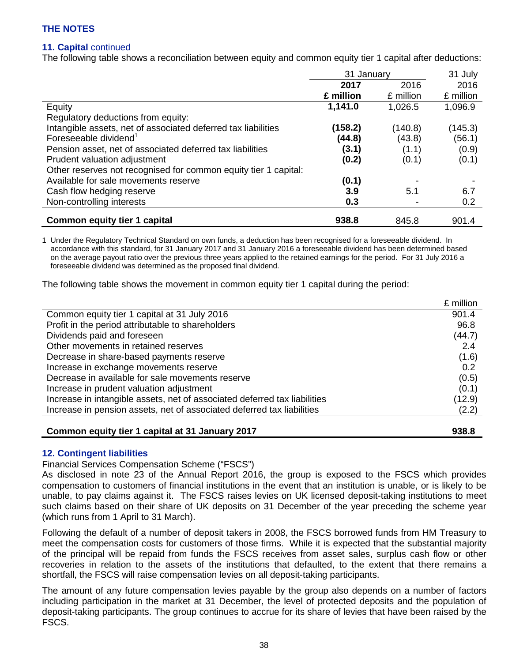## **11. Capital** continued

The following table shows a reconciliation between equity and common equity tier 1 capital after deductions:

|                                                                 | 31 January |           | 31 July   |
|-----------------------------------------------------------------|------------|-----------|-----------|
|                                                                 | 2017       | 2016      | 2016      |
|                                                                 | £ million  | £ million | £ million |
| Equity                                                          | 1,141.0    | 1,026.5   | 1,096.9   |
| Regulatory deductions from equity:                              |            |           |           |
| Intangible assets, net of associated deferred tax liabilities   | (158.2)    | (140.8)   | (145.3)   |
| Foreseeable dividend <sup>1</sup>                               | (44.8)     | (43.8)    | (56.1)    |
| Pension asset, net of associated deferred tax liabilities       | (3.1)      | (1.1)     | (0.9)     |
| Prudent valuation adjustment                                    | (0.2)      | (0.1)     | (0.1)     |
| Other reserves not recognised for common equity tier 1 capital: |            |           |           |
| Available for sale movements reserve                            | (0.1)      |           |           |
| Cash flow hedging reserve                                       | 3.9        | 5.1       | 6.7       |
| Non-controlling interests                                       | 0.3        |           | 0.2       |
|                                                                 |            |           |           |
| <b>Common equity tier 1 capital</b>                             | 938.8      | 845.8     | 901.4     |

1 Under the Regulatory Technical Standard on own funds, a deduction has been recognised for a foreseeable dividend. In accordance with this standard, for 31 January 2017 and 31 January 2016 a foreseeable dividend has been determined based on the average payout ratio over the previous three years applied to the retained earnings for the period. For 31 July 2016 a foreseeable dividend was determined as the proposed final dividend.

The following table shows the movement in common equity tier 1 capital during the period:

|                                                                           | £ million |
|---------------------------------------------------------------------------|-----------|
| Common equity tier 1 capital at 31 July 2016                              | 901.4     |
| Profit in the period attributable to shareholders                         | 96.8      |
| Dividends paid and foreseen                                               | (44.7)    |
| Other movements in retained reserves                                      | 2.4       |
| Decrease in share-based payments reserve                                  | (1.6)     |
| Increase in exchange movements reserve                                    | 0.2       |
| Decrease in available for sale movements reserve                          | (0.5)     |
| Increase in prudent valuation adjustment                                  | (0.1)     |
| Increase in intangible assets, net of associated deferred tax liabilities | (12.9)    |
| Increase in pension assets, net of associated deferred tax liabilities    | (2.2)     |
| Common equity tier 1 capital at 31 January 2017                           | 938.8     |

#### **12. Contingent liabilities**

Financial Services Compensation Scheme ("FSCS")

As disclosed in note 23 of the Annual Report 2016, the group is exposed to the FSCS which provides compensation to customers of financial institutions in the event that an institution is unable, or is likely to be unable, to pay claims against it. The FSCS raises levies on UK licensed deposit-taking institutions to meet such claims based on their share of UK deposits on 31 December of the year preceding the scheme year (which runs from 1 April to 31 March).

Following the default of a number of deposit takers in 2008, the FSCS borrowed funds from HM Treasury to meet the compensation costs for customers of those firms. While it is expected that the substantial majority of the principal will be repaid from funds the FSCS receives from asset sales, surplus cash flow or other recoveries in relation to the assets of the institutions that defaulted, to the extent that there remains a shortfall, the FSCS will raise compensation levies on all deposit-taking participants.

The amount of any future compensation levies payable by the group also depends on a number of factors including participation in the market at 31 December, the level of protected deposits and the population of deposit-taking participants. The group continues to accrue for its share of levies that have been raised by the FSCS.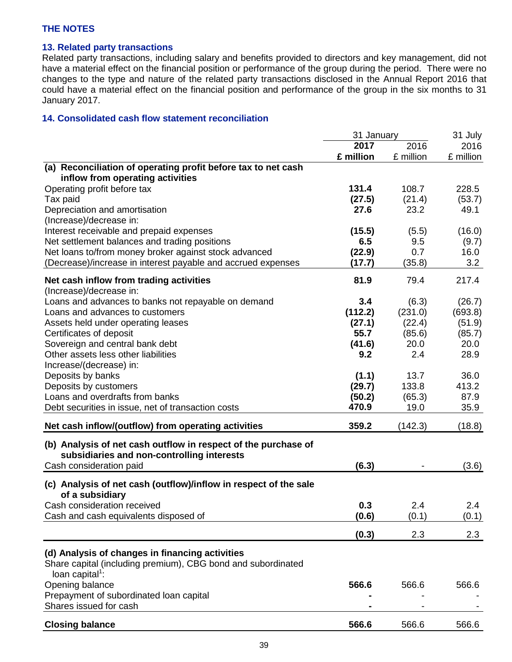## **13. Related party transactions**

Related party transactions, including salary and benefits provided to directors and key management, did not have a material effect on the financial position or performance of the group during the period. There were no changes to the type and nature of the related party transactions disclosed in the Annual Report 2016 that could have a material effect on the financial position and performance of the group in the six months to 31 January 2017.

#### **14. Consolidated cash flow statement reconciliation**

|                                                                                                                                                | 31 January |           | 31 July   |  |
|------------------------------------------------------------------------------------------------------------------------------------------------|------------|-----------|-----------|--|
|                                                                                                                                                | 2017       | 2016      | 2016      |  |
|                                                                                                                                                | £ million  | £ million | £ million |  |
| (a) Reconciliation of operating profit before tax to net cash<br>inflow from operating activities                                              |            |           |           |  |
| Operating profit before tax                                                                                                                    | 131.4      | 108.7     | 228.5     |  |
| Tax paid                                                                                                                                       | (27.5)     | (21.4)    | (53.7)    |  |
| Depreciation and amortisation                                                                                                                  | 27.6       | 23.2      | 49.1      |  |
| (Increase)/decrease in:                                                                                                                        |            |           |           |  |
| Interest receivable and prepaid expenses                                                                                                       | (15.5)     | (5.5)     | (16.0)    |  |
| Net settlement balances and trading positions                                                                                                  | 6.5        | 9.5       | (9.7)     |  |
| Net loans to/from money broker against stock advanced                                                                                          | (22.9)     | 0.7       | 16.0      |  |
| (Decrease)/increase in interest payable and accrued expenses                                                                                   | (17.7)     | (35.8)    | 3.2       |  |
| Net cash inflow from trading activities<br>(Increase)/decrease in:                                                                             | 81.9       | 79.4      | 217.4     |  |
| Loans and advances to banks not repayable on demand                                                                                            | 3.4        | (6.3)     | (26.7)    |  |
| Loans and advances to customers                                                                                                                | (112.2)    | (231.0)   | (693.8)   |  |
| Assets held under operating leases                                                                                                             | (27.1)     | (22.4)    | (51.9)    |  |
| Certificates of deposit                                                                                                                        | 55.7       | (85.6)    | (85.7)    |  |
| Sovereign and central bank debt                                                                                                                | (41.6)     | 20.0      | 20.0      |  |
| Other assets less other liabilities                                                                                                            | 9.2        | 2.4       | 28.9      |  |
| Increase/(decrease) in:                                                                                                                        |            |           |           |  |
| Deposits by banks                                                                                                                              | (1.1)      | 13.7      | 36.0      |  |
| Deposits by customers                                                                                                                          | (29.7)     | 133.8     | 413.2     |  |
| Loans and overdrafts from banks                                                                                                                | (50.2)     | (65.3)    | 87.9      |  |
| Debt securities in issue, net of transaction costs                                                                                             | 470.9      | 19.0      | 35.9      |  |
| Net cash inflow/(outflow) from operating activities                                                                                            | 359.2      | (142.3)   | (18.8)    |  |
| (b) Analysis of net cash outflow in respect of the purchase of<br>subsidiaries and non-controlling interests<br>Cash consideration paid        | (6.3)      |           | (3.6)     |  |
| (c) Analysis of net cash (outflow)/inflow in respect of the sale<br>of a subsidiary                                                            |            |           |           |  |
| Cash consideration received                                                                                                                    | 0.3        | 2.4       | 2.4       |  |
| Cash and cash equivalents disposed of                                                                                                          | (0.6)      | (0.1)     | (0.1)     |  |
|                                                                                                                                                | (0.3)      | 2.3       | 2.3       |  |
|                                                                                                                                                |            |           |           |  |
| (d) Analysis of changes in financing activities<br>Share capital (including premium), CBG bond and subordinated<br>loan capital <sup>1</sup> : |            |           |           |  |
| Opening balance                                                                                                                                | 566.6      | 566.6     | 566.6     |  |
| Prepayment of subordinated loan capital                                                                                                        |            |           |           |  |
| Shares issued for cash                                                                                                                         |            |           |           |  |
| <b>Closing balance</b>                                                                                                                         | 566.6      | 566.6     | 566.6     |  |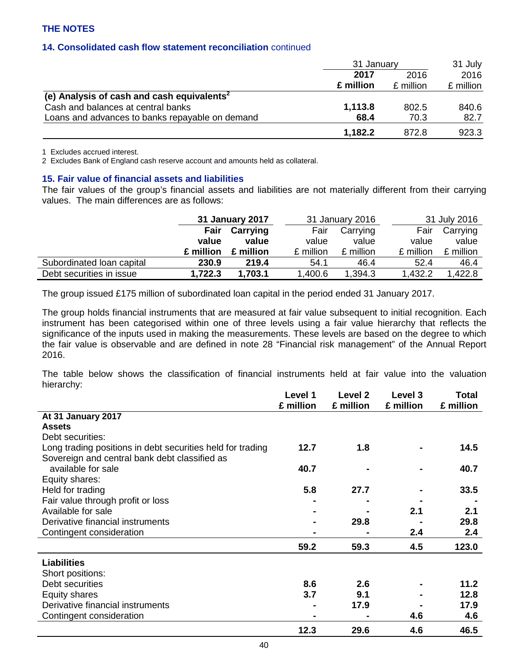## **14. Consolidated cash flow statement reconciliation** continued

|                                                        | 31 January   |           | 31 July   |  |
|--------------------------------------------------------|--------------|-----------|-----------|--|
|                                                        | 2016<br>2017 |           | 2016      |  |
|                                                        | £ million    | £ million | £ million |  |
| (e) Analysis of cash and cash equivalents <sup>2</sup> |              |           |           |  |
| Cash and balances at central banks                     | 1,113.8      | 802.5     | 840.6     |  |
| Loans and advances to banks repayable on demand        | 68.4         | 70.3      | 82.7      |  |
|                                                        | 1,182.2      | 872.8     | 923.3     |  |

1 Excludes accrued interest.

2 Excludes Bank of England cash reserve account and amounts held as collateral.

#### **15. Fair value of financial assets and liabilities**

The fair values of the group's financial assets and liabilities are not materially different from their carrying values. The main differences are as follows:

|                           |           | 31 January 2017 | 31 January 2016 |           | 31 July 2016 |           |
|---------------------------|-----------|-----------------|-----------------|-----------|--------------|-----------|
|                           | Fair      | Carrying        | Fair            | Carrying  | Fair         | Carrying  |
|                           | value     | value           | value           | value     | value        | value     |
|                           | £ million | £ million       | £ million       | £ million | £ million    | £ million |
| Subordinated Ioan capital | 230.9     | 219.4           | 54.1            | 46.4      | 52.4         | 46.4      |
| Debt securities in issue  | 1,722.3   | 1,703.1         | 1,400.6         | .394.3    | 1.432.2      | 1.422.8   |

The group issued £175 million of subordinated loan capital in the period ended 31 January 2017.

The group holds financial instruments that are measured at fair value subsequent to initial recognition. Each instrument has been categorised within one of three levels using a fair value hierarchy that reflects the significance of the inputs used in making the measurements. These levels are based on the degree to which the fair value is observable and are defined in note 28 "Financial risk management" of the Annual Report 2016.

The table below shows the classification of financial instruments held at fair value into the valuation hierarchy:

|                                                            | Level 1<br>£ million | Level 2<br>£ million | Level 3<br>£ million | <b>Total</b><br>£ million |
|------------------------------------------------------------|----------------------|----------------------|----------------------|---------------------------|
| At 31 January 2017                                         |                      |                      |                      |                           |
| <b>Assets</b>                                              |                      |                      |                      |                           |
| Debt securities:                                           |                      |                      |                      |                           |
| Long trading positions in debt securities held for trading | 12.7                 | 1.8                  |                      | 14.5                      |
| Sovereign and central bank debt classified as              |                      |                      |                      |                           |
| available for sale                                         | 40.7                 |                      |                      | 40.7                      |
| Equity shares:                                             |                      |                      |                      |                           |
| Held for trading                                           | 5.8                  | 27.7                 |                      | 33.5                      |
| Fair value through profit or loss                          |                      |                      |                      |                           |
| Available for sale                                         |                      |                      | 2.1                  | 2.1                       |
| Derivative financial instruments                           |                      | 29.8                 |                      | 29.8                      |
| Contingent consideration                                   |                      |                      | 2.4                  | 2.4                       |
|                                                            | 59.2                 | 59.3                 | 4.5                  | 123.0                     |
| <b>Liabilities</b>                                         |                      |                      |                      |                           |
| Short positions:                                           |                      |                      |                      |                           |
| Debt securities                                            | 8.6                  | 2.6                  |                      | 11.2                      |
| Equity shares                                              | 3.7                  | 9.1                  |                      | 12.8                      |
| Derivative financial instruments                           |                      | 17.9                 |                      | 17.9                      |
| Contingent consideration                                   |                      |                      | 4.6                  | 4.6                       |
|                                                            | 12.3                 | 29.6                 | 4.6                  | 46.5                      |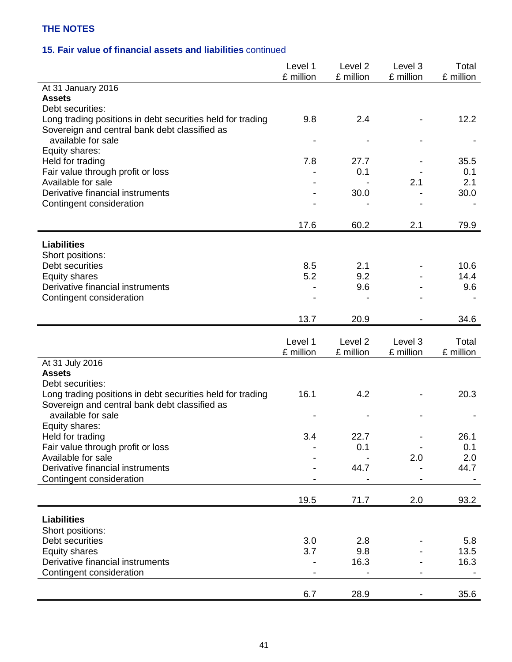## **15. Fair value of financial assets and liabilities** continued

|                                                                     | Level 1<br>£ million | Level 2<br>£ million | Level 3<br>£ million | Total<br>£ million |
|---------------------------------------------------------------------|----------------------|----------------------|----------------------|--------------------|
| At 31 January 2016                                                  |                      |                      |                      |                    |
| <b>Assets</b>                                                       |                      |                      |                      |                    |
| Debt securities:                                                    |                      |                      |                      |                    |
| Long trading positions in debt securities held for trading          | 9.8                  | 2.4                  |                      | 12.2               |
| Sovereign and central bank debt classified as<br>available for sale |                      |                      |                      |                    |
| Equity shares:                                                      |                      |                      |                      |                    |
| Held for trading                                                    | 7.8                  | 27.7                 |                      | 35.5               |
| Fair value through profit or loss                                   |                      | 0.1                  |                      | 0.1                |
| Available for sale                                                  |                      |                      | 2.1                  | 2.1                |
| Derivative financial instruments                                    |                      | 30.0                 |                      | 30.0               |
| Contingent consideration                                            |                      |                      |                      |                    |
|                                                                     | 17.6                 | 60.2                 | 2.1                  | 79.9               |
|                                                                     |                      |                      |                      |                    |
| <b>Liabilities</b>                                                  |                      |                      |                      |                    |
| Short positions:<br>Debt securities                                 | 8.5                  | 2.1                  |                      | 10.6               |
| <b>Equity shares</b>                                                | 5.2                  | 9.2                  |                      | 14.4               |
| Derivative financial instruments                                    |                      | 9.6                  |                      | 9.6                |
| Contingent consideration                                            |                      |                      |                      |                    |
|                                                                     |                      |                      |                      |                    |
|                                                                     | 13.7                 | 20.9                 |                      | 34.6               |
|                                                                     |                      |                      |                      |                    |
|                                                                     |                      |                      |                      |                    |
|                                                                     | Level 1              | Level <sub>2</sub>   | Level 3              | Total              |
|                                                                     | £ million            | £ million            | £ million            | £ million          |
| At 31 July 2016<br><b>Assets</b>                                    |                      |                      |                      |                    |
| Debt securities:                                                    |                      |                      |                      |                    |
| Long trading positions in debt securities held for trading          | 16.1                 | 4.2                  |                      | 20.3               |
| Sovereign and central bank debt classified as                       |                      |                      |                      |                    |
| available for sale                                                  |                      |                      |                      |                    |
| Equity shares:                                                      |                      |                      |                      |                    |
| Held for trading                                                    | 3.4                  | 22.7                 |                      | 26.1               |
| Fair value through profit or loss                                   |                      | 0.1                  |                      | 0.1                |
| Available for sale<br>Derivative financial instruments              |                      | 44.7                 | 2.0                  | 2.0<br>44.7        |
| Contingent consideration                                            |                      |                      |                      |                    |
|                                                                     |                      |                      |                      |                    |
|                                                                     | 19.5                 | 71.7                 | 2.0                  | 93.2               |
| <b>Liabilities</b>                                                  |                      |                      |                      |                    |
| Short positions:                                                    |                      |                      |                      |                    |
| Debt securities                                                     | 3.0                  | 2.8                  |                      | 5.8                |
| <b>Equity shares</b>                                                | 3.7                  | 9.8                  |                      | 13.5               |
| Derivative financial instruments                                    |                      | 16.3                 |                      | 16.3               |
| Contingent consideration                                            |                      |                      |                      |                    |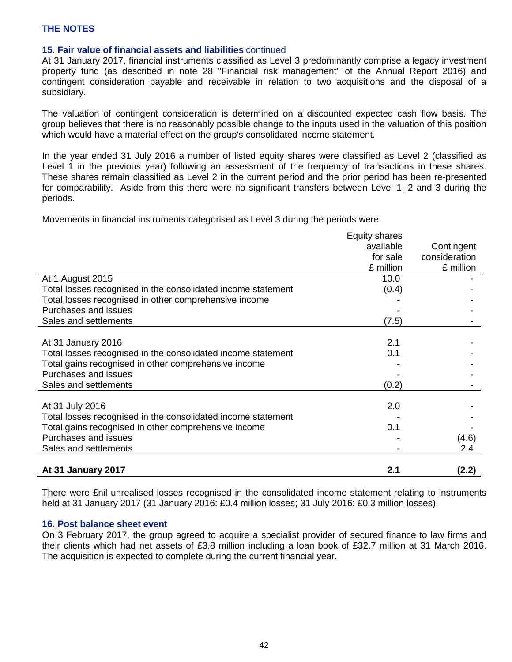#### **15. Fair value of financial assets and liabilities** continued

At 31 January 2017, financial instruments classified as Level 3 predominantly comprise a legacy investment property fund (as described in note 28 "Financial risk management" of the Annual Report 2016) and contingent consideration payable and receivable in relation to two acquisitions and the disposal of a subsidiary.

The valuation of contingent consideration is determined on a discounted expected cash flow basis. The group believes that there is no reasonably possible change to the inputs used in the valuation of this position which would have a material effect on the group's consolidated income statement.

In the year ended 31 July 2016 a number of listed equity shares were classified as Level 2 (classified as Level 1 in the previous year) following an assessment of the frequency of transactions in these shares. These shares remain classified as Level 2 in the current period and the prior period has been re-presented for comparability. Aside from this there were no significant transfers between Level 1, 2 and 3 during the periods.

Movements in financial instruments categorised as Level 3 during the periods were:

|                                                              | <b>Equity shares</b> |               |
|--------------------------------------------------------------|----------------------|---------------|
|                                                              | available            | Contingent    |
|                                                              | for sale             | consideration |
|                                                              | £ million            | £ million     |
| At 1 August 2015                                             | 10.0                 |               |
| Total losses recognised in the consolidated income statement | (0.4)                |               |
| Total losses recognised in other comprehensive income        |                      |               |
| Purchases and issues                                         |                      |               |
| Sales and settlements                                        | (7.5)                |               |
|                                                              |                      |               |
| At 31 January 2016                                           | 2.1                  |               |
| Total losses recognised in the consolidated income statement | 0.1                  |               |
| Total gains recognised in other comprehensive income         |                      |               |
| Purchases and issues                                         |                      |               |
| Sales and settlements                                        | (0.2)                |               |
|                                                              |                      |               |
| At 31 July 2016                                              | 2.0                  |               |
| Total losses recognised in the consolidated income statement |                      |               |
| Total gains recognised in other comprehensive income         | 0.1                  |               |
| Purchases and issues                                         |                      | (4.6)         |
| Sales and settlements                                        |                      | 2.4           |
|                                                              |                      |               |
| At 31 January 2017                                           | 2.1                  | (2.2)         |

There were £nil unrealised losses recognised in the consolidated income statement relating to instruments held at 31 January 2017 (31 January 2016: £0.4 million losses; 31 July 2016: £0.3 million losses).

#### **16. Post balance sheet event**

On 3 February 2017, the group agreed to acquire a specialist provider of secured finance to law firms and their clients which had net assets of £3.8 million including a loan book of £32.7 million at 31 March 2016. The acquisition is expected to complete during the current financial year.